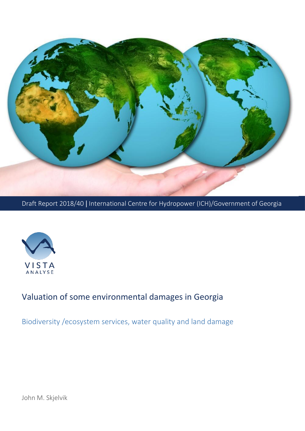

Draft Report 2018/40 | International Centre for Hydropower (ICH)/Government of Georgia



# Valuation of some environmental damages in Georgia

Biodiversity /ecosystem services, water quality and land damage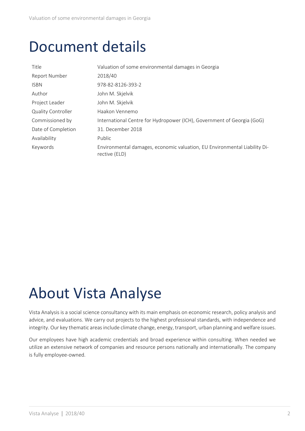# Document details

| Title                     | Valuation of some environmental damages in Georgia                                         |  |
|---------------------------|--------------------------------------------------------------------------------------------|--|
| Report Number             | 2018/40                                                                                    |  |
| <b>ISBN</b>               | 978-82-8126-393-2                                                                          |  |
| Author                    | John M. Skjelvik                                                                           |  |
| Project Leader            | John M. Skjelvik                                                                           |  |
| <b>Quality Controller</b> | Haakon Vennemo                                                                             |  |
| Commissioned by           | International Centre for Hydropower (ICH), Government of Georgia (GoG)                     |  |
| Date of Completion        | 31. December 2018                                                                          |  |
| Availability              | Public                                                                                     |  |
| Keywords                  | Environmental damages, economic valuation, EU Environmental Liability Di-<br>rective (ELD) |  |

# About Vista Analyse

Vista Analysis is a social science consultancy with its main emphasis on economic research, policy analysis and advice, and evaluations. We carry out projects to the highest professional standards, with independence and integrity. Our key thematic areas include climate change, energy, transport, urban planning and welfare issues.

Our employees have high academic credentials and broad experience within consulting. When needed we utilize an extensive network of companies and resource persons nationally and internationally. The company is fully employee-owned.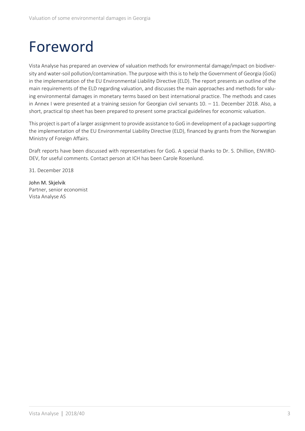# Foreword

Vista Analyse has prepared an overview of valuation methods for environmental damage/impact on biodiversity and water-soil pollution/contamination. The purpose with this is to help the Government of Georgia (GoG) in the implementation of the EU Environmental Liability Directive (ELD). The report presents an outline of the main requirements of the ELD regarding valuation, and discusses the main approaches and methods for valuing environmental damages in monetary terms based on best international practice. The methods and cases in Annex I were presented at a training session for Georgian civil servants 10. – 11. December 2018. Also, a short, practical tip sheet has been prepared to present some practical guidelines for economic valuation.

This project is part of a larger assignment to provide assistance to GoG in development of a package supporting the implementation of the EU Environmental Liability Directive (ELD), financed by grants from the Norwegian Ministry of Foreign Affairs.

Draft reports have been discussed with representatives for GoG. A special thanks to Dr. S. Dhillion, ENVIRO-DEV, for useful comments. Contact person at ICH has been Carole Rosenlund.

31. December 2018

John M. Skjelvik Partner, senior economist Vista Analyse AS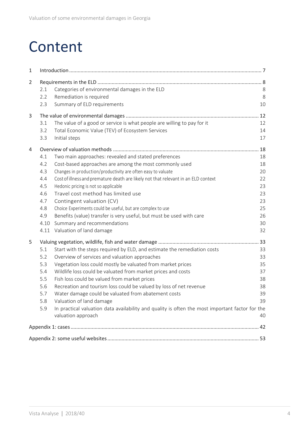# **Content**

| $\mathbf{1}$   |      |                                                                                                                       |    |  |
|----------------|------|-----------------------------------------------------------------------------------------------------------------------|----|--|
| $\overline{2}$ | 2.1  | Categories of environmental damages in the ELD                                                                        | 8  |  |
|                | 2.2  | Remediation is required                                                                                               | 8  |  |
|                | 2.3  | Summary of ELD requirements                                                                                           | 10 |  |
| 3              |      |                                                                                                                       |    |  |
|                | 3.1  | The value of a good or service is what people are willing to pay for it                                               | 12 |  |
|                | 3.2  | Total Economic Value (TEV) of Ecosystem Services                                                                      | 14 |  |
|                | 3.3  | Initial steps                                                                                                         | 17 |  |
| 4              |      |                                                                                                                       |    |  |
|                | 4.1  | Two main approaches: revealed and stated preferences                                                                  | 18 |  |
|                | 4.2  | Cost-based approaches are among the most commonly used                                                                | 18 |  |
|                | 4.3  | Changes in production/productivity are often easy to valuate                                                          | 20 |  |
|                | 4.4  | Cost of illness and premature death are likely not that relevant in an ELD context                                    | 22 |  |
|                | 4.5  | Hedonic pricing is not so applicable                                                                                  | 23 |  |
|                | 4.6  | Travel cost method has limited use                                                                                    | 23 |  |
|                | 4.7  | Contingent valuation (CV)                                                                                             | 23 |  |
|                | 4.8  | Choice Experiments could be useful, but are complex to use                                                            | 25 |  |
|                | 4.9  | Benefits (value) transfer is very useful, but must be used with care                                                  | 26 |  |
|                | 4.10 | Summary and recommendations                                                                                           | 30 |  |
|                | 4.11 | Valuation of land damage                                                                                              | 32 |  |
| 5              |      |                                                                                                                       |    |  |
|                | 5.1  | Start with the steps required by ELD, and estimate the remediation costs                                              | 33 |  |
|                | 5.2  | Overview of services and valuation approaches                                                                         | 33 |  |
|                | 5.3  | Vegetation loss could mostly be valuated from market prices                                                           | 35 |  |
|                | 5.4  | Wildlife loss could be valuated from market prices and costs                                                          | 37 |  |
|                | 5.5  | Fish loss could be valued from market prices                                                                          | 38 |  |
|                | 5.6  | Recreation and tourism loss could be valued by loss of net revenue                                                    | 38 |  |
|                | 5.7  | Water damage could be valuated from abatement costs                                                                   | 39 |  |
|                | 5.8  | Valuation of land damage                                                                                              | 39 |  |
|                | 5.9  | In practical valuation data availability and quality is often the most important factor for the<br>valuation approach | 40 |  |
|                |      |                                                                                                                       |    |  |
|                |      |                                                                                                                       |    |  |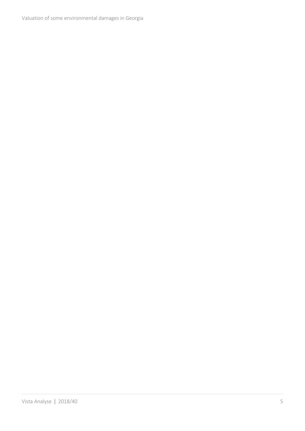Valuation of some environmental damages in Georgia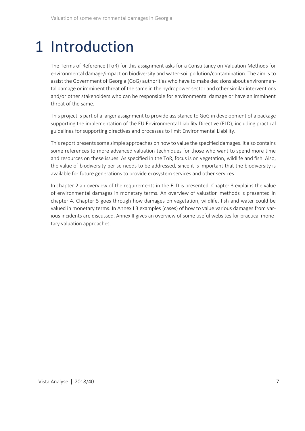# <span id="page-6-0"></span>1 Introduction

The Terms of Reference (ToR) for this assignment asks for a Consultancy on Valuation Methods for environmental damage/impact on biodiversity and water-soil pollution/contamination. The aim is to assist the Government of Georgia (GoG) authorities who have to make decisions about environmental damage or imminent threat of the same in the hydropower sector and other similar interventions and/or other stakeholders who can be responsible for environmental damage or have an imminent threat of the same.

This project is part of a larger assignment to provide assistance to GoG in development of a package supporting the implementation of the EU Environmental Liability Directive (ELD), including practical guidelines for supporting directives and processes to limit Environmental Liability.

This report presents some simple approaches on how to value the specified damages. It also contains some references to more advanced valuation techniques for those who want to spend more time and resources on these issues. As specified in the ToR, focus is on vegetation, wildlife and fish. Also, the value of biodiversity per se needs to be addressed, since it is important that the biodiversity is available for future generations to provide ecosystem services and other services.

In chapter 2 an overview of the requirements in the ELD is presented. Chapter 3 explains the value of environmental damages in monetary terms. An overview of valuation methods is presented in chapter 4. Chapter 5 goes through how damages on vegetation, wildlife, fish and water could be valued in monetary terms. In Annex I 3 examples (cases) of how to value various damages from various incidents are discussed. Annex II gives an overview of some useful websites for practical monetary valuation approaches.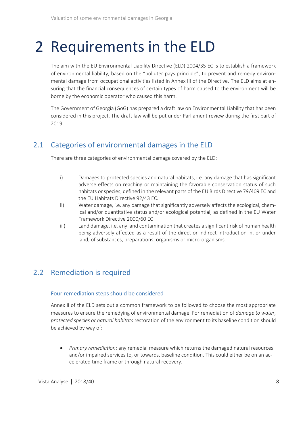# <span id="page-7-0"></span>2 Requirements in the ELD

The aim with the EU Environmental Liability Directive (ELD) 2004/35 EC is to establish a framework of environmental liability, based on the "polluter pays principle", to prevent and remedy environmental damage from occupational activities listed in Annex III of the Directive. The ELD aims at ensuring that the financial consequences of certain types of harm caused to the environment will be borne by the economic operator who caused this harm.

The Government of Georgia (GoG) has prepared a draft law on Environmental Liability that has been considered in this project. The draft law will be put under Parliament review during the first part of 2019.

# <span id="page-7-1"></span>2.1 Categories of environmental damages in the ELD

There are three categories of environmental damage covered by the ELD:

- i) Damages to protected species and natural habitats, i.e. any damage that has significant adverse effects on reaching or maintaining the favorable conservation status of such habitats or species, defined in the relevant parts of the EU Birds Directive 79/409 EC and the EU Habitats Directive 92/43 EC.
- ii) Water damage, i.e. any damage that significantly adversely affects the ecological, chemical and/or quantitative status and/or ecological potential, as defined in the EU Water Framework Directive 2000/60 EC
- iii) Land damage, i.e. any land contamination that creates a significant risk of human health being adversely affected as a result of the direct or indirect introduction in, or under land, of substances, preparations, organisms or micro-organisms.

# <span id="page-7-2"></span>2.2 Remediation is required

### Four remediation steps should be considered

Annex II of the ELD sets out a common framework to be followed to choose the most appropriate measures to ensure the remedying of environmental damage. For remediation of *damage to water, protected species or natural habitats* restoration of the environment to its baseline condition should be achieved by way of:

• *Primary remediation*: any remedial measure which returns the damaged natural resources and/or impaired services to, or towards, baseline condition. This could either be on an accelerated time frame or through natural recovery.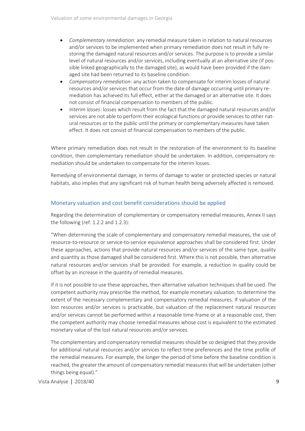- *Complementary remediation*: any remedial measure taken in relation to natural resources and/or services to be implemented when primary remediation does not result in fully restoring the damaged natural resources and/or services. The purpose is to provide a similar level of natural resources and/or services, including eventually at an alternative site (if possible linked geographically to the damaged site), as would have been provided if the damaged site had been returned to its baseline condition.
- *Compensatory remediation*: any action taken to compensate for interim losses of natural resources and/or services that occur from the date of damage occurring until primary remediation has achieved its full effect, either at the damaged or an alternative site. It does not consist of financial compensation to members of the public.
- *Interim losses*: losses which result from the fact that the damaged natural resources and/or services are not able to perform their ecological functions or provide services to other natural resources or to the public until the primary or complementary measures have taken effect. It does not consist of financial compensation to members of the public.

Where primary remediation does not result in the restoration of the environment to its baseline condition, then complementary remediation should be undertaken. In addition, compensatory remediation should be undertaken to compensate for the interim losses.

Remedying of environmental damage, in terms of damage to water or protected species or natural habitats, also implies that any significant risk of human health being adversely affected is removed.

### Monetary valuation and cost benefit considerations should be applied

Regarding the determination of complementary or compensatory remedial measures, Annex II says the following (ref. 1.2.2 and 1.2.3):

"When determining the scale of complementary and compensatory remedial measures, the use of resource-to-resource or service-to-service equivalence approaches shall be considered first. Under these approaches, actions that provide natural resources and/or services of the same type, quality and quantity as those damaged shall be considered first. Where this is not possible, then alternative natural resources and/or services shall be provided. For example, a reduction in quality could be offset by an increase in the quantity of remedial measures.

If it is not possible to use these approaches, then alternative valuation techniques shall be used. The competent authority may prescribe the method, for example monetary valuation, to determine the extent of the necessary complementary and compensatory remedial measures. If valuation of the lost resources and/or services is practicable, but valuation of the replacement natural resources and/or services cannot be performed within a reasonable time-frame or at a reasonable cost, then the competent authority may choose remedial measures whose cost is equivalent to the estimated monetary value of the lost natural resources and/or services.

The complementary and compensatory remedial measures should be so designed that they provide for additional natural resources and/or services to reflect time preferences and the time profile of the remedial measures. For example, the longer the period of time before the baseline condition is reached, the greater the amount of compensatory remedial measures that will be undertaken (other things being equal)."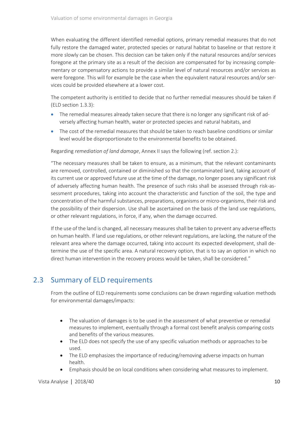When evaluating the different identified remedial options, primary remedial measures that do not fully restore the damaged water, protected species or natural habitat to baseline or that restore it more slowly can be chosen. This decision can be taken only if the natural resources and/or services foregone at the primary site as a result of the decision are compensated for by increasing complementary or compensatory actions to provide a similar level of natural resources and/or services as were foregone. This will for example be the case when the equivalent natural resources and/or services could be provided elsewhere at a lower cost.

The competent authority is entitled to decide that no further remedial measures should be taken if (ELD section 1.3.3):

- The remedial measures already taken secure that there is no longer any significant risk of adversely affecting human health, water or protected species and natural habitats, and
- The cost of the remedial measures that should be taken to reach baseline conditions or similar level would be disproportionate to the environmental benefits to be obtained.

Regarding *remediation of land damage*, Annex II says the following (ref. section 2.):

"The necessary measures shall be taken to ensure, as a minimum, that the relevant contaminants are removed, controlled, contained or diminished so that the contaminated land, taking account of its current use or approved future use at the time of the damage, no longer poses any significant risk of adversely affecting human health. The presence of such risks shall be assessed through risk-assessment procedures, taking into account the characteristic and function of the soil, the type and concentration of the harmful substances, preparations, organisms or micro-organisms, their risk and the possibility of their dispersion. Use shall be ascertained on the basis of the land use regulations, or other relevant regulations, in force, if any, when the damage occurred.

If the use of the land is changed, all necessary measures shall be taken to prevent any adverse effects on human health. If land use regulations, or other relevant regulations, are lacking, the nature of the relevant area where the damage occurred, taking into account its expected development, shall determine the use of the specific area. A natural recovery option, that is to say an option in which no direct human intervention in the recovery process would be taken, shall be considered."

# <span id="page-9-0"></span>2.3 Summary of ELD requirements

From the outline of ELD requirements some conclusions can be drawn regarding valuation methods for environmental damages/impacts:

- The valuation of damages is to be used in the assessment of what preventive or remedial measures to implement, eventually through a formal cost benefit analysis comparing costs and benefits of the various measures.
- The ELD does not specify the use of any specific valuation methods or approaches to be used.
- The ELD emphasizes the importance of reducing/removing adverse impacts on human health.
- Emphasis should be on local conditions when considering what measures to implement.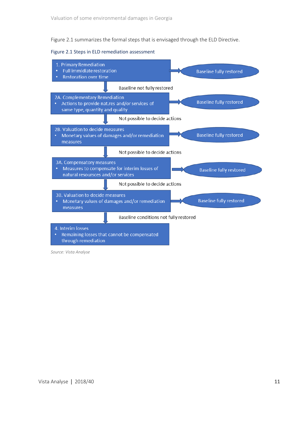Figure 2.1 summarizes the formal steps that is envisaged through the ELD Directive.





*Source: Vista Analyse*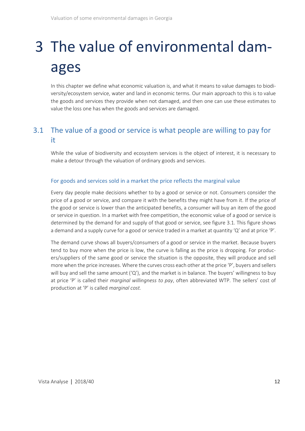# <span id="page-11-0"></span>3 The value of environmental damages

In this chapter we define what economic valuation is, and what it means to value damages to biodiversity/ecosystem service, water and land in economic terms. Our main approach to this is to value the goods and services they provide when not damaged, and then one can use these estimates to value the loss one has when the goods and services are damaged.

# <span id="page-11-1"></span>3.1 The value of a good or service is what people are willing to pay for it

While the value of biodiversity and ecosystem services is the object of interest, it is necessary to make a detour through the valuation of ordinary goods and services.

### For goods and services sold in a market the price reflects the marginal value

Every day people make decisions whether to by a good or service or not. Consumers consider the price of a good or service, and compare it with the benefits they might have from it. If the price of the good or service is lower than the anticipated benefits, a consumer will buy an item of the good or service in question. In a market with free competition, the economic value of a good or service is determined by the demand for and supply of that good or service, see figure 3.1. This figure shows a demand and a supply curve for a good or service traded in a market at quantity 'Q' and at price 'P'.

The demand curve shows all buyers/consumers of a good or service in the market. Because buyers tend to buy more when the price is low, the curve is falling as the price is dropping. For producers/suppliers of the same good or service the situation is the opposite, they will produce and sell more when the price increases. Where the curves cross each other at the price 'P', buyers and sellers will buy and sell the same amount  $(C_1)$ , and the market is in balance. The buyers' willingness to buy at price 'P' is called their *marginal willingness to pay*, often abbreviated WTP. The sellers' cost of production at 'P' is called *marginal cost.*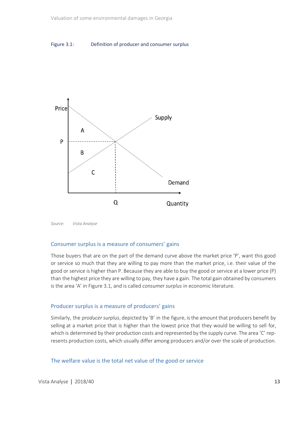



*Source: Vista Analyse*

#### Consumer surplus is a measure of consumers' gains

Those buyers that are on the part of the demand curve above the market price 'P', want this good or service so much that they are willing to pay more than the market price, i.e. their value of the good or service is higher than P. Because they are able to buy the good or service at a lower price (P) than the highest price they are willing to pay, they have a gain. The total gain obtained by consumers is the area 'A' in Figure 3.1, and is called *consumer surplus* in economic literature.

### Producer surplus is a measure of producers' gains

Similarly, the *producer surplus*, depicted by 'B' in the figure, is the amount that producers benefit by selling at a market price that is higher than the lowest price that they would be willing to sell for, which is determined by their production costs and represented by the supply curve. The area 'C' represents production costs, which usually differ among producers and/or over the scale of production.

The welfare value is the total net value of the good or service

Vista Analyse | 2018/40  $\hspace{1.5cm}$  13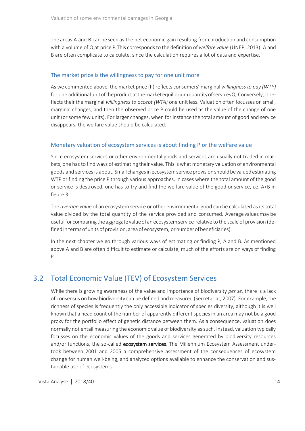The areas A and B can be seen as the net economic gain resulting from production and consumption with a volume of Q at price P. This corresponds to the definition of *welfare value* (UNEP, 2013). A and B are often complicate to calculate, since the calculation requires a lot of data and expertise.

### The market price is the willingness to pay for one unit more

As we commented above, the market price (P) reflects consumers' marginal *willingness to pay (WTP)* for one additionalunitoftheproductatthemarketequilibriumquantityofservicesQ, Conversely, it reflects their the marginal *willingness to accept (WTA)* one unit less. Valuation often focusses on small, marginal changes, and then the observed price P could be used as the value of the change of one unit (or some few units). For larger changes, when for instance the total amount of good and service disappears, the welfare value should be calculated.

### Monetary valuation of ecosystem services is about finding P or the welfare value

Since ecosystem services or other environmental goods and services are usually not traded in markets, one has to find ways of estimating their value. This is what monetary valuation of environmental goods and services is about. Small changes in ecosystem service provision should be valued estimating WTP or finding the price P through various approaches. In cases where the total amount of the good or service is destroyed, one has to try and find the welfare value of the good or service, i.e. A+B in figure 3.1

The *average value* of an ecosystem service or other environmental good can be calculated as its total value divided by the total quantity of the service provided and consumed. Average valuesmay be useful for comparing the aggregate value of an ecosystem service relative to the scale of provision (defined in terms of units of provision, area of ecosystem, ornumberofbeneficiaries).

In the next chapter we go through various ways of estimating or finding P, A and B. As mentioned above A and B are often difficult to estimate or calculate, much of the efforts are on ways of finding P.

# <span id="page-13-0"></span>3.2 Total Economic Value (TEV) of Ecosystem Services

While there is growing awareness of the value and importance of biodiversity *per se*, there is a lack of consensus on how biodiversity can be defined and measured (Secretariat, 2007). For example, the richness of species is frequently the only accessible indicator of species diversity, although it is well known that a head count of the number of apparently different species in an area may not be a good proxy for the portfolio effect of genetic distance between them. As a consequence, valuation does normally not entail measuring the economic value of biodiversity as such. Instead, valuation typically focusses on the economic values of the goods and services generated by biodiversity resources and/or functions, the so-called ecosystem services. The Millennium Ecosystem Assessment undertook between 2001 and 2005 a comprehensive assessment of the consequences of ecosystem change for human well-being, and analyzed options available to enhance the conservation and sustainable use of ecosystems.

Vista Analyse | 2018/40  $\sqrt{14}$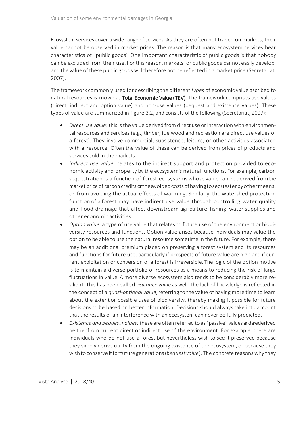Ecosystem services cover a wide range of services. As they are often not traded on markets, their value cannot be observed in market prices. The reason is that many ecosystem services bear characteristics of "public goods". One important characteristic of public goods is that nobody can be excluded from their use. For this reason, markets for public goods cannot easily develop, and the value of these public goods will therefore not be reflected in a market price (Secretariat, 2007).

The framework commonly used for describing the different *types* of economic value ascribed to natural resources is known as Total Economic Value (TEV). The framework comprises use values (direct, indirect and option value) and non-use values (bequest and existence values). These types of value are summarized in figure 3.2, and consists of the following (Secretariat, 2007):

- *Direct use value*: this isthe value derived from direct use orinteractionwith environmental resources and services (e.g., timber, fuelwood and recreation are direct use values of a forest). They involve commercial, subsistence, leisure, or other activities associated with a resource. Often the value of these can be derived from prices of products and services sold in the markets
- *Indirect use value:* relates to the indirect support and protection provided to economic activity and property by the ecosystem''s natural functions. For example, carbon sequestration is a function of forest ecosystemswhose value can be derived fromthe market price of carbon credits ortheavoidedcostsofhavingtosequesterbyothermeans, or from avoiding the actual effects of warming. Similarly, the watershed protection function of a forest may have indirect use value through controlling water quality and flood drainage that affect downstream agriculture, fishing, water supplies and other economic activities.
- *Option value:* a type of use value that relates to future use of the environment or biodiversity resources and functions. Option value arises because individuals may value the option to be able to use the natural resource sometime in the future. For example, there may be an additional premium placed on preserving a forest system and its resources and functions for future use, particularly if prospects of future value are high and if current exploitation or conversion of a forest is irreversible. The logic of the option motive is to maintain a diverse portfolio of resources as a means to reducing the risk of large fluctuations in value. A more diverse ecosystem also tends to be considerably more resilient. This has been called *insurance value* as well. The lack of knowledge is reflected in the concept of a *quasi-optional value*, referring to the value of having more time to learn about the extent or possible uses of biodiversity, thereby making it possible for future decisions to be based on better information. Decisions should always take into account that the results of an interference with an ecosystem can never be fully predicted.
- *Existence and bequest values:* these are often referred to as "passive" values and are derived neitherfrom current direct or indirect use of the environment. For example, there are individuals who do not use a forest but nevertheless wish to see it preserved because they simply derive utility from the ongoing existence of the ecosystem, or because they wishtoconserve itforfuture generations(*bequest value*). The concrete reasons why they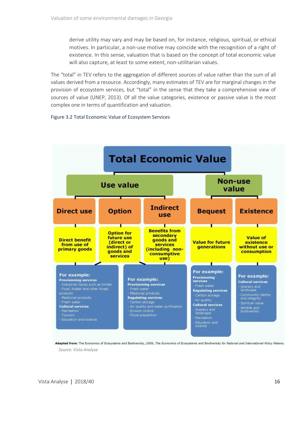derive utility may vary and may be based on, for instance, religious, spiritual, or ethical motives. In particular, a non-use motive may coincide with the recognition of a right of existence. In this sense, valuation that is based on the concept of total economic value will also capture, at least to some extent, non-utilitarian values.

The "total" in TEV refers to the aggregation of different sources of value rather than the sum of all values derived from a resource. Accordingly, many estimates of TEV are for marginal changes in the provision of ecosystem services, but "total" in the sense that they take a comprehensive view of sources of value (UNEP, 2013). Of all the value categories, existence or passive value is the most complex one in terms of quantification and valuation.

#### Figure 3.2 Total Economic Value of Ecosystem Services



Adapted from: The Economics of Ecosystems and Biodiversity, 2009, The Economics of Ecosystems and Biodiversity for National and International Policy Makers. *Source: Vista Analyse*

Vista Analyse | 2018/40  $\sqrt{16}$  16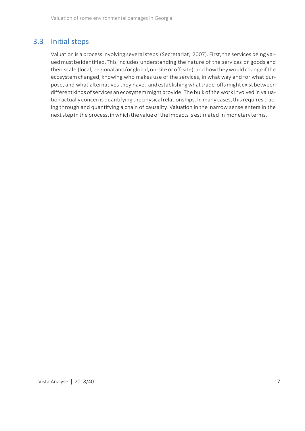# 3.3 Initial steps

<span id="page-16-0"></span>Valuation is a process involving several steps (Secretariat, 2007). First, the services being valuedmustbeidentified.This includes understanding the nature of the services or goods and their scale (local, regional and/or global, on-site or off-site), and how they would change if the ecosystemchanged; knowing who makes use of the services, in what way and for what purpose, and what alternatives they have, andestablishingwhattrade-offsmightexistbetween different kinds of services an ecosystem might provide. The bulk of the work involved in valuation actually concerns quantifying the physical relationships. In many cases, this requires tracing through and quantifying a chain of causality. Valuation in the narrow sense enters in the next step in the process, in which the value of the impacts is estimated in monetary terms.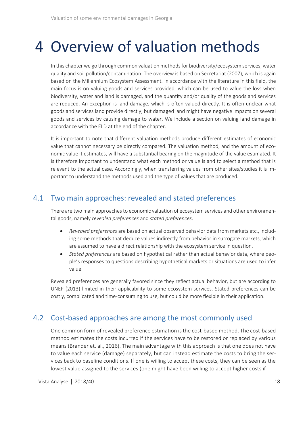# <span id="page-17-0"></span>4 Overview of valuation methods

In this chapter we go through common valuation methods for biodiversity/ecosystem services, water quality and soil pollution/contamination. The overview is based on Secretariat (2007), which is again based on the Millennium Ecosystem Assessment. In accordance with the literature in this field, the main focus is on valuing goods and services provided, which can be used to value the loss when biodiversity, water and land is damaged, and the quantity and/or quality of the goods and services are reduced. An exception is land damage, which is often valued directly. It is often unclear what goods and services land provide directly, but damaged land might have negative impacts on several goods and services by causing damage to water. We include a section on valuing land damage in accordance with the ELD at the end of the chapter.

It is important to note that different valuation methods produce different estimates of economic value that cannot necessary be directly compared. The valuation method, and the amount of economic value it estimates, will have a substantial bearing on the magnitude of the value estimated. It is therefore important to understand what each method or value is and to select a method that is relevant to the actual case. Accordingly, when transferring values from other sites/studies it is important to understand the methods used and the type of values that are produced.

# <span id="page-17-1"></span>4.1 Two main approaches: revealed and stated preferences

There are two main approaches to economic valuation of ecosystem services and other environmental goods, namely *revealed preferences* and *stated preferences*.

- *Revealed preferences* are based on actual observed behavior data from markets etc., including some methods that deduce values indirectly from behavior in surrogate markets, which are assumed to have a direct relationship with the ecosystem service in question.
- *Stated preferences* are based on hypothetical rather than actual behavior data, where people's responses to questions describing hypothetical markets or situations are used to infer value.

Revealed preferences are generally favored since they reflect actual behavior, but are according to UNEP (2013) limited in their applicability to some ecosystem services. Stated preferences can be costly, complicated and time-consuming to use, but could be more flexible in their application.

# <span id="page-17-2"></span>4.2 Cost-based approaches are among the most commonly used

One common form of revealed preference estimation is the cost-based method. The cost-based method estimates the costs incurred if the services have to be restored or replaced by various means (Brander et. al., 2016). The main advantage with this approach is that one does not have to value each service (damage) separately, but can instead estimate the costs to bring the services back to baseline conditions. If one is willing to accept these costs, they can be seen as the lowest value assigned to the services (one might have been willing to accept higher costs if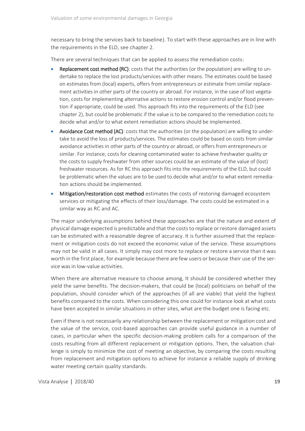necessary to bring the services back to baseline). To start with these approaches are in line with the requirements in the ELD, see chapter 2.

There are several techniques that can be applied to assess the remediation costs:

- Replacement cost method (RC): costs that the authorities (or the population) are willing to undertake to replace the lost products/services with other means. The estimates could be based on estimates from (local) experts, offers from entrepreneurs or estimate from similar replacement activities in other parts of the country or abroad. For instance, in the case of lost vegetation, costs for implementing alternative actions to restore erosion control and/or flood prevention if appropriate, could be used. This approach fits into the requirements of the ELD (see chapter 2), but could be problematic if the value is to be compared to the remediation costs to decide what and/or to what extent remediation actions should be implemented.
- Avoidance Cost method (AC): costs that the authorities (or the population) are willing to undertake to avoid the loss of products/services. The estimates could be based on costs from similar avoidance activities in other parts of the country or abroad, or offers from entrepreneurs or similar. For instance, costs for cleaning contaminated water to achieve freshwater quality or the costs to supply freshwater from other sources could be an estimate of the value of (lost) freshwater resources. As for RC this approach fits into the requirements of the ELD, but could be problematic when the values are to be used to decide what and/or to what extent remediation actions should be implemented.
- Mitigation/restoration cost method estimates the costs of restoring damaged ecosystem services or mitigating the effects of their loss/damage. The costs could be estimated in a similar way as RC and AC.

The major underlying assumptions behind these approaches are that the nature and extent of physical damage expected is predictable and that the costs to replace or restore damaged assets can be estimated with a reasonable degree of accuracy. It is further assumed that the replacement or mitigation costs do not exceed the economic value of the service. These assumptions may not be valid in all cases. It simply may cost more to replace or restore a service than it was worth in the first place, for example because there are few users or because their use of the service was in low-value activities.

When there are alternative measure to choose among, It should be considered whether they yield the same benefits. The decision-makers, that could be (local) politicians on behalf of the population, should consider which of the approaches (if all are viable) that yield the highest benefits compared to the costs. When considering this one could for instance look at what costs have been accepted in similar situations in other sites, what are the budget one is facing etc.

Even if there is not necessarily any relationship between the replacement or mitigation cost and the value of the service, cost-based approaches can provide useful guidance in a number of cases, in particular when the specific decision-making problem calls for a comparison of the costs resulting from all different replacement or mitigation options. Then, the valuation challenge is simply to minimize the cost of meeting an objective, by comparing the costs resulting from replacement and mitigation options to achieve for instance a reliable supply of drinking water meeting certain quality standards.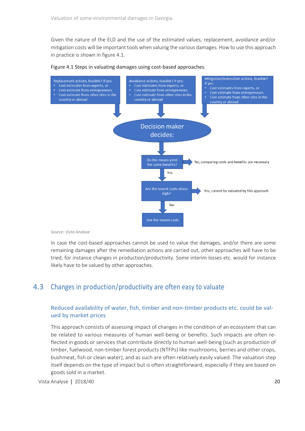Given the nature of the ELD and the use of the estimated values, replacement, avoidance and/or mitigation costs will be important tools when valuing the various damages. How to use this approach in practice is shown in figure 4.1.





*Source: Vista Analyse*

In case the cost-based approaches cannot be used to value the damages, and/or there are some remaining damages after the remediation actions are carried out, other approaches will have to be tried, for instance changes in production/productivity. Some interim losses etc. would for instance likely have to be valued by other approaches.

# <span id="page-19-0"></span>4.3 Changes in production/productivity are often easy to valuate

### Reduced availability of water, fish, timber and non-timber products etc. could be valued by market prices

This approach consists of assessing impact of changes in the condition of an ecosystem that can be related to various measures of human well-being or benefits. Such impacts are often reflected in goods or services that contribute directly to human well-being (such as production of timber, fuelwood, non-timber forest products (NTFPs) like mushrooms, berries and other crops, bushmeat, fish or clean water), and as such are often relatively easily valued. The valuation step itself depends on the type of impact but is often straightforward, especially if they are based on goods sold in a market.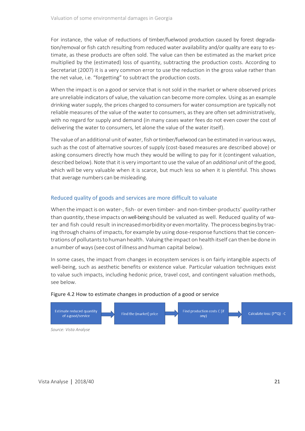For instance, the value of reductions of timber/fuelwood production caused by forest degradation/removal or fish catch resulting from reduced water availability and/or quality are easy to estimate, as these products are often sold. The value can then be estimated as the market price multiplied by the (estimated) loss of quantity, subtracting the production costs. According to Secretariat (2007) it is a very common error to use the reduction in the gross value rather than the net value, i.e. "forgetting" to subtract the production costs.

When the impact is on a good or service that is not sold in the market or where observed prices are unreliable indicators of value, the valuation can become more complex. Using as an example drinking water supply, the prices charged to consumers for water consumption are typically not reliable measures of the value of the water to consumers, as they are often set administratively, with no regard for supply and demand (in many cases water fees do not even cover the cost of delivering the water to consumers, let alone the value of the water itself).

The value of an additional unit of water, fish or timber/fuelwood can be estimated in various ways, such as the cost of alternative sources of supply (cost-based measures are described above) or asking consumers directly how much they would be willing to pay for it (contingent valuation, described below). Note that it is very important to use the value of an *additional* unit of the good, which will be very valuable when it is scarce, but much less so when it is plentiful. This shows that average numbers can be misleading.

### Reduced quality of goods and services are more difficult to valuate

When the impactis on water-, fish- or even timber- and non-timber-products' *quality* rather than *quantity*, these impacts on well-being should be valuated as well. Reduced quality of water and fish could result inincreasedmorbidityorevenmortality. Theprocess beginsby tracing through chains of impacts, for example by using dose-response functions that tie concentrations of pollutants to human health. Valuing the impact on health itself can then be done in a number of ways (see cost of illness and human capital below).

In some cases, the impact from changes in ecosystem services is on fairly intangible aspects of well-being, such as aesthetic benefits or existence value. Particular valuation techniques exist to value such impacts, including hedonic price, travel cost, and contingent valuation methods, see below.



### Figure 4.2 How to estimate changes in production of a good or service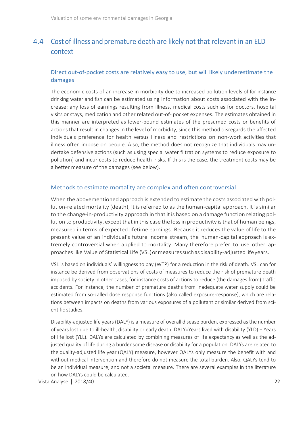# <span id="page-21-0"></span>4.4 Cost of illness and premature death are likely not that relevant in an ELD context

### Direct out-of-pocket costs are relatively easy to use, but will likely underestimate the damages

The economic costs of an increase in morbidity due to increased pollution levels of for instance drinking water and fish can be estimated using information about costs associated with the increase: any loss of earnings resulting from illness, medical costs such as for doctors, hospital visits or stays, medication and other related out-of- pocket expenses. The estimates obtained in this manner are interpreted as lower-bound estimates of the presumed costs or benefits of actions that result in changes in the level of morbidity, since this method disregards the affected individuals' preference for health versus illness and restrictions on non-work activities that illness often impose on people. Also, the method does not recognize that individuals may undertake defensive actions (such as using special water filtration systems to reduce exposure to pollution) and incur costs to reduce health risks. If this is the case, the treatment costs may be a better measure of the damages (see below).

### Methods to estimate mortality are complex and often controversial

When the abovementioned approach is extended to estimate the costs associated with pollution-related mortality (death), it is referred to as the human-capital approach. It is similar to the change-in-productivity approach in that it is based on a damage function relating pollution to productivity, except that in this case the lossin productivity isthat of human beings, measured in terms of expected lifetime earnings. Because it reduces the value of life to the present value of an individual's future income stream, the human-capital approach is extremely controversial when applied to mortality. Many therefore prefer to use other approaches like Value of Statistical Life (VSL)ormeasuressuchasdisability-adjustedlifeyears.

VSL is based on individuals' willingness to pay (WTP) for a reduction in the risk of death. VSL can for instance be derived from observations of costs of measures to reduce the risk of premature death imposed by society in other cases, for instance costs of actions to reduce (the damages from) traffic accidents. For instance, the number of premature deaths from inadequate water supply could be estimated from so-called dose response functions (also called exposure-response), which are relations between impacts on deaths from various exposures of a pollutant or similar derived from scientific studies.

Disability-adjusted life years (DALY) is a measure of overall disease burden, expressed as the number of years lost due to ill-health, disability or early death. DALY=Years lived with disability (YLD) + Years of life lost (YLL). DALYs are calculated by combining measures of [life expectancy](https://en.wikipedia.org/wiki/Life_expectancy) as well as the adjusted quality of life during a burdensome disease or disability for a population. DALYs are related to the [quality-adjusted life year](https://en.wikipedia.org/wiki/Quality-adjusted_life_year) (QALY) measure, however QALYs only measure the benefit with and without medical intervention and therefore do not measure the total burden. Also, QALYs tend to be an individual measure, and not a societal measure. There are several examples in the literature on how DALYs could be calculated.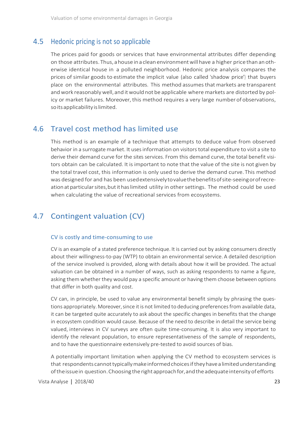### 4.5 Hedonic pricing is not so applicable

<span id="page-22-0"></span>The prices paid for goods or services that have environmental attributes differ depending on those attributes.Thus, ahousein a clean environmentwill have a higher price than an otherwise identical house in a polluted neighborhood. Hedonic price analysis compares the prices of similar goods to estimate the implicit value (also called "shadow price") that buyers place on the environmental attributes. This method assumesthat markets are transparent andwork reasonablywell,and itwould not be applicable where markets are distorted by policy or market failures. Moreover, this method requires a very large number of observations, soitsapplicabilityislimited.

## <span id="page-22-1"></span>4.6 Travel cost method has limited use

This method is an example of a technique that attempts to deduce value from observed behavior in a surrogate market. It usesinformation on visitors' total expenditure to visit a site to derive their demand curve for the site's services. From this demand curve, the total benefit visitors obtain can be calculated. It is important to note that the value of the site is not given by the total travel cost, this information is only used to derive the demand curve. This method was designed for and has been usedextensivelytovaluethebenefitsofsite-seeingorofrecreation at particular sites, but it has limited utility in other settings. The method could be used when calculating the value of recreational services from ecosystems.

# <span id="page-22-2"></span>4.7 Contingent valuation (CV)

#### CV is costly and time-consuming to use

CV is an example of a stated preference technique. It is carried out by asking consumers directly about their willingness-to-pay (WTP) to obtain an environmental service. A detailed description of the service involved is provided, along with details about how it will be provided. The actual valuation can be obtained in a number of ways, such as asking respondents to name a figure, asking them whether they would pay a specific amount or having them choose between options that differ in both quality and cost.

CV can, in principle, be used to value any environmental benefit simply by phrasing the questions appropriately. Moreover, since it is not limited to deducing preferences from available data, it can be targeted quite accurately to ask about the specific changes in benefits that the change in ecosystem condition would cause. Because of the need to describe in detail the service being valued, interviews in CV surveys are often quite time-consuming. It is also very important to identify the relevant population, to ensure representativeness of the sample of respondents, and to have the questionnaire extensively pre-tested to avoid sources of bias.

A potentially important limitation when applying the CV method to ecosystem services is that respondents cannot typically make informed choices if they have a limited understanding oftheissuein question.Choosing therightapproachfor,andtheadequateintensityof efforts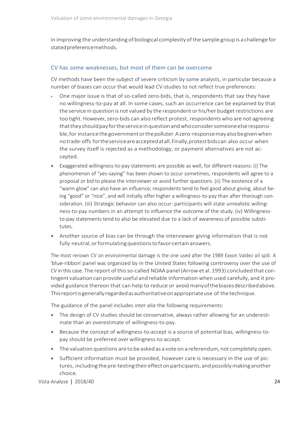in improving the understanding of biological complexity ofthe sample group is a challenge for statedpreferencemethods.

### CV has some weaknesses, but most of them can be overcome

CV methods have been the subject of severe criticism by some analysts, in particular because a number of biases can occur that would lead CV-studies to not reflect true preferences:

- One major issue is that of so-called zero-bids, that is, respondents that say they have no willingness-to-pay at all. In some cases, such an occurrence can be explained by that the service in question is not valued by the respondent or his/her budget restrictions are too tight. However, zero-bids can also reflect protest, respondents who are not agreeing thattheyshouldpayfortheserviceinquestionandwhoconsidersomeoneelseresponsible,for instancethegovernmentorthepolluter.Azero-responsemayalsobegivenwhen notrade-offs fortheserviceareacceptedatall.Finally,protestbidscan also occur when the survey itself is rejected as a methodology, or payment alternatives are not accepted.
- Exaggerated willingness-to-pay statements are possible as well, for different reasons: (i) The phenomenon of "yes-saying" has been shown to occur sometimes, respondents will agree to a proposal or bid to please the interviewer or avoid further questions. (ii) The existence of a "warm glow" can also have an influence; respondents tend to feel good about giving, about being "good" or "nice", and will initially offer higher a willingness-to-pay than after thorough consideration. (iii) Strategic behavior can also occur: participants will state unrealistic willingness-to-pay numbers in an attempt to influence the outcome of the study. (iv) Willingnessto-pay statements tend to also be elevated due to a lack of awareness of possible substitutes.
- Another source of bias can be through the interviewer giving information that is not fully neutral, or formulating questions to favor certain answers.

The most renown CV on environmental damage is the one used after the 1989 Exxon Valdez oil spill. A "blue-ribbon" panel was organized by in the United States following controversy over the use of CV in this case. The report of thisso-called NOAA panel (Arrowet al. 1993) concluded that contingent valuation can provide useful and reliable information when used carefully, and it provided guidance thereon that can help to reduce or avoid manyofthebiasesdescribedabove. Thisreportisgenerallyregardedasauthoritativeonappropriateuse of the technique.

The guidance of the panel includes *inter alia* the following requirements:

- The design of CV studies should be conservative, always rather allowing for an underestimate than an overestimate of willingness-to-pay.
- Because the concept of willingness-to-accept is a source of potential bias, willingness-topay should be preferred over willingness-to-accept.
- The valuation questions are to be asked as a vote on a referendum, not completely open.
- Sufficient information must be provided, however care is necessary in the use of pictures, including the pre-testing their effect on participants, and possibly making another choice.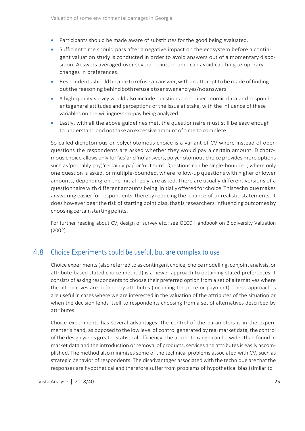- Participants should be made aware of substitutes for the good being evaluated.
- Sufficient time should pass after a negative impact on the ecosystem before a contingent valuation study is conducted in order to avoid answers out of a momentary disposition. Answers averaged over several points in time can avoid catching temporary changes in preferences.
- Respondents should be able to refuse an answer, with an attempt to be made of finding outthe reasoningbehindbothrefusalstoanswerandyes/noanswers.
- A high-quality survey would also include questions on socioeconomic data and respondents' general attitudes and perceptions of the issue at stake, with the influence of these variables on the willingness-to-pay being analyzed.
- Lastly, with all the above guidelines met, the questionnaire must still be easy enough to understand and nottake an excessive amount of time to complete.

So-called dichotomous or polychotomous choice is a variant of CV where instead of open questions the respondents are asked whether they would pay a certain amount. Dichotomous choice allows only for "yes" and"no" answers, polychotomous choice provides more options such as 'probably pay', 'certainly pay'' or 'not sure'. Questions can be single-bounded, where only one question is asked, or multiple-bounded,where follow-up questions with higher or lower amounts, depending on the initial reply, are asked. There are usually different versions of a questionnairewith different amounts being initiallyofferedfor choice.Thistechniquemakes answering easier for respondents, thereby reducing the chance of unrealistic statements. It does however bear the risk of starting point bias, that is researchers influencing outcomes by choosingcertainstartingpoints.

<span id="page-24-0"></span>For further reading about CV, design of survey etc.: see OECD Handbook on Biodiversity Valuation (2002).

## 4.8 Choice Experiments could be useful, but are complex to use

Choice experiments(also referred to as contingent choice, choice modelling, conjoint analysis, or attribute-based stated choice method) is a newer approach to obtaining stated preferences. It consists of asking respondents to choose their preferred option from a set of alternatives where the alternatives are defined by attributes (including the price or payment). These approaches are useful in cases where we are interested in the valuation of the attributes of the situation or when the decision lends itself to respondents choosing from a set of alternatives described by attributes.

Choice experiments has several advantages: the control of the parameters is in the experimenter's hand, as opposed to the lowlevel of control generated by real market data, the control of the design yields greater statistical efficiency, the attribute range can be wider than found in market data and the introduction or removal of products, services and attributes is easily accomplished. The method also minimizes some of the technical problems associated with CV, such as strategic behavior of respondents. The disadvantages associatedwith the technique are thatthe responses are hypothetical and therefore suffer from problems of hypothetical bias (similar to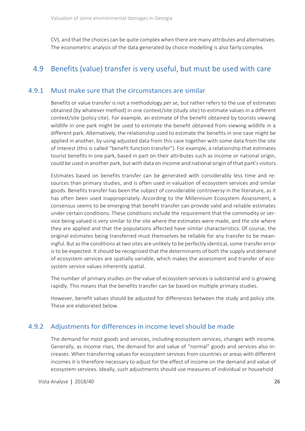<span id="page-25-0"></span>CV), and that the choices can be quite complex when there are many attributes and alternatives. The econometric analysis of the data generated by choice modelling is also fairly complex.

# 4.9 Benefits (value) transfer is very useful, but must be used with care

### 4.9.1 Must make sure that the circumstances are similar

Benefits or value transfer is not a methodology *per se,* but rather refers to the use of estimates obtained (by whatever method) in one context/site (study site) to estimate values in a different context/site (policy cite). For example, an estimate of the benefit obtained by tourists viewing wildlife in one park might be used to estimate the benefit obtained from viewing wildlife in a different park. Alternatively, the relationship used to estimate the benefits in one case might be applied in another, by using adjusted data from this case together with some data from the site of interest (this is called "benefit function transfer"). For example, a relationship that estimates tourist benefits in one park, based in part on their attributes such as income or national origin, could be used in another park, but with data on income and national origin of that park's visitors.

Estimates based on benefits transfer can be generated with considerably less time and resources than primary studies, and is often used in valuation of ecosystem services and similar goods. Benefits transfer has been the subject of considerable controversy in the literature, as it has often been used inappropriately. According to the Millennium Ecosystem Assessment, a consensus seems to be emerging that benefit transfer can provide valid and reliable estimates under certain conditions. These conditions include the requirement that the commodity or service being valued is very similar to the site where the estimates were made, and the site where they are applied and that the populations affected have similar characteristics. Of course, the original estimates being transferred must themselves be reliable for any transfer to be meaningful. But as the conditions at two sites are unlikely to be perfectly identical, some transfer error is to be expected. It should be recognized that the determinants of both the supply and demand of ecosystem services are spatially variable, which makes the assessment and transfer of ecosystem service values inherently spatial.

The number of primary studies on the value of ecosystem services is substantial and is growing rapidly. This means that the benefits transfer can be based on multiple primary studies.

However, benefit values should be adjusted for differences between the study and policy site. These are elaborated below.

### 4.9.2 Adjustments for differences in income level should be made

The demand for most goods and services, including ecosystem services, changes with income. Generally, as income rises, the demand for and value of "normal" goods and services also increases. When transferring values for ecosystem services from countries or areas with different incomes it is therefore necessary to adjust for the effect of income on the demand and value of ecosystem services. Ideally, such adjustments should use measures of individual or household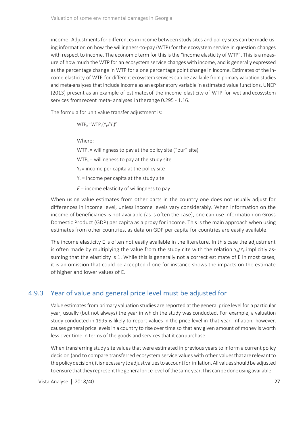income. Adjustments for differences in income between study sites and policy sites can be made using information on how the willingness-to-pay (WTP) for the ecosystem service in question changes with respect to income. The economic term for this is the "income elasticity of WTP". This is a measure of how much the WTP for an ecosystem service changes with income, and is generally expressed as the percentage change in WTP for a one percentage point change in income. Estimates of the income elasticity of WTP for different ecosystem services can be available from primary valuation studies and meta-analyses that include income as an explanatory variable in estimated value functions. UNEP (2013) present as an example of estimatesof the income elasticity of WTP for wetland ecosystem services fromrecent meta- analyses intherange 0.295 - 1.16.

The formula for unit value transfer adjustment is:

 $WTP_p = WTP_s(Y_p/Y_s)^E$ 

Where:

 $WTP_p$  = willingness to pay at the policy site ("our" site)

 $WTP_s =$  willingness to pay at the study site

 $Y_p$  = income per capita at the policy site

 $Y_s$  = income per capita at the study site

*E* = income elasticity of willingness to pay

When using value estimates from other parts in the country one does not usually adjust for differences in income level, unless income levels vary considerably. When information on the income of beneficiaries is not available (as is often the case), one can use information on Gross Domestic Product (GDP) per capita as a proxy for income. This is the main approach when using estimates from other countries, as data on GDP per capita for countries are easily available.

The income elasticity E is often not easily available in the literature. In this case the adjustment is often made by multiplying the value from the study cite with the relation  $Y_p/Y_s$  implicitly assuming that the elasticity is 1. While this is generally not a correct estimate of E in most cases, it is an omission that could be accepted if one for instance shows the impacts on the estimate of higher and lower values of E.

### 4.9.3 Year of value and general price level must be adjusted for

Value estimatesfrom primary valuation studies are reported at the general price level for a particular year, usually (but not always) the year in which the study was conducted. For example, a valuation study conducted in 1995 is likely to report values in the price level in that year. Inflation, however, causes general price levels in a country to rise over time so that any given amount of money is worth less over time in terms of the goods and services that it canpurchase.

When transferring study site values that were estimated in previous years to inform a current policy decision (and to compare transferred ecosystem service values with other valuesthatarerelevantto the policy decision), it is necessary to adjust values to account for inflation. All values should be adjusted toensurethatthey representthegeneralpricelevel ofthesameyear.Thiscanbedoneusingavailable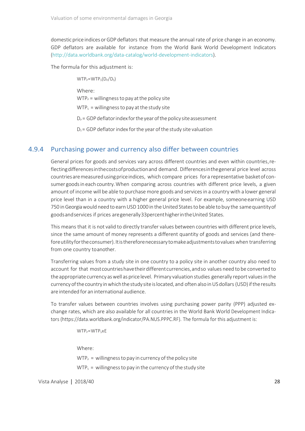domestic price indices orGDP deflators that measure the annual rate of price change in an economy. GDP deflators are available for instance from the World Bank World Development Indicators [\(http://data.worldbank.org/data-catalog/world-development-indicators\)](http://data.worldbank.org/data-catalog/world-development-indicators).

The formula for this adjustment is:

 $WTP_P=WTP_S(D_P/D_S)$ Where:  $WTP_P$  = willingness to pay at the policy site  $WTP<sub>s</sub> =$  willingness to pay at the study site  $D_P$  = GDP deflator index for the year of the policy site assessment  $D_s$  = GDP deflator index for the year of the study site valuation

### 4.9.4 Purchasing power and currency also differ between countries

General prices for goods and services vary across different countries and even within countries,reflectingdifferencesinthecostsofproductionand demand. Differencesinthegeneral price level across countries are measured using price indices, which compare prices for a representative basket of consumer goodsin each country.When comparing across countries with different price levels, a given amount of income will be able to purchase more goods and services in a country with a lower general price level than in a country with a higher general price level. For example, someoneearning USD 750 in Georgia would need to earn USD 1000 in the United States to be able to buy the same quantity of goodsandservices if prices aregenerally33percenthigherintheUnited States.

This means that it is not valid to directly transfer values between countries with different price levels, since the same amount of money represents a different quantity of goods and services (and therefore utility for the consumer). It is therefore necessary to make adjustments to values when transferring from one country toanother.

Transferring values from a study site in one country to a policy site in another country also need to account for that most countries have their different currencies, and so values need to be converted to the appropriate currency aswell as price level. Primary valuation studies generally report valuesin the currencyofthecountry inwhichthestudy site islocated, and often also inUSdollars (USD)iftheresults are intended for an international audience.

To transfer values between countries involves using purchasing power parity (PPP) adjusted exchange rates, which are also available for all countries in the World Bank World Development Indicators (https://data.worldbank.org/indicator/PA.NUS.PPPC.RF). The formula for this adjustment is:

 $WTP_P=WTP_SxE$ 

Where:

 $WTP_P$  = willingness to pay in currency of the policy site

 $WTP_s =$  willingness to pay in the currency of the study site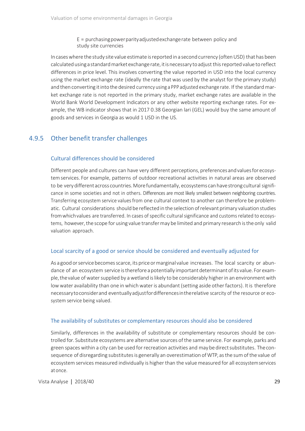E = purchasingpowerparityadjustedexchangerate between policy and study site currencies

In cases where the study site value estimate is reported in a second currency (often USD) that has been calculatedusing astandardmarketexchangerate, itisnecessary toadjust thisreported value to reflect differences in price level. This involves converting the value reported in USD into the local currency using the market exchange rate (ideally the rate that was used by the analyst for the primary study) and then converting itinto the desired currency using a PPP adjusted exchange rate. If the standard market exchange rate is not reported in the primary study, market exchange rates are available in the World Bank World Development Indicators or any other website reporting exchange rates. For example, the WB indicator shows that in 2017 0.38 Georgian lari (GEL) would buy the same amount of goods and services in Georgia as would 1 USD in the US.

## 4.9.5 Other benefit transfer challenges

### Cultural differences should be considered

Different people and cultures can have very different perceptions, preferencesandvaluesfor ecosystemservices. For example, patterns of outdoor recreational activities in natural areas are observed to be very different across countries. More fundamentally, ecosystems can have strong cultural significance in some societies and not in others. Differences are most likely smallest between neighboring countries. Transferring ecosystem service valuesfrom one cultural context to another can therefore be problematic. Cultural considerations should be reflected in the selection ofrelevant primary valuation studies from which values are transferred. In cases of specific cultural significance and customs related to ecosystems, however, the scope for using value transfer may be limited and primary research is the only valid valuation approach.

### Local scarcity of a good or service should be considered and eventually adjusted for

As a good or service becomes scarce, its price or marginal value increases. The local scarcity or abundance of an ecosystem service is therefore a potentially important determinant of its value. For example, the value of water supplied by a wetland is likely to be considerably higher in an environment with low water availability than one in which water is abundant (setting aside other factors). It is therefore necessarytoconsiderand eventuallyadjustfordifferencesintherelative scarcity of the resource or ecosystem service being valued.

### The availability of substitutes or complementary resources should also be considered

Similarly, differences in the availability of substitute or complementary resources should be controlled for. Substitute ecosystems are alternative sources of the same service. For example, parks and green spaces within a city can be used for recreation activities and may be direct substitutes. The consequence of disregarding substitutes is generally an overestimation of WTP, as the sum of the value of ecosystem services measured individually is higher than the value measured for all ecosystemservices atonce.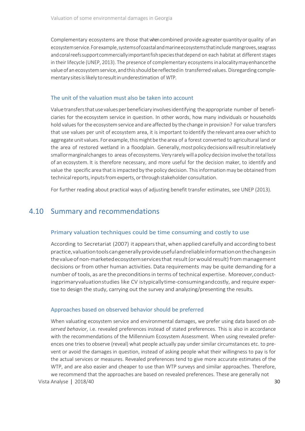Complementary ecosystems are those thatwhen combined provide a greater quantity orquality of an ecosystemservice.Forexample,systemsofcoastalandmarineecosystemsthatinclude mangroves,seagrass andcoralreefssupportcommerciallyimportantfishspeciesthatdepend on each habitat at different stages in their lifecycle (UNEP, 2013). The presence of complementary ecosystems inalocalitymayenhancethe value of an ecosystem service, and this should be reflected in transferred values. Disregarding complementary sites is likely to result in underestimation of WTP.

### The unit of the valuation must also be taken into account

Valuetransfersthatusevaluesperbeneficiary involvesidentifying theappropriate number of beneficiaries for the ecosystem service in question. In other words, how many individuals or households hold values for the ecosystem service and are affected by the change in provision? For value transfers that use values per unit of ecosystem area, it is important toidentify the relevant area overwhich to aggregate unit values. For example, this might be the area of a forest converted to agricultural land or the area of restored wetland in a floodplain. Generally, most policy decisions will result in relatively smallormarginalchanges to areas of ecosystems. Very rarely will a policy decision involve the total loss of an ecosystem. It is therefore necessary, and more useful for the decision maker, to identify and value the specific area that is impacted by the policy decision. This information may be obtained from technical reports, inputs from experts, or through stakeholder consultation.

<span id="page-29-0"></span>For further reading about practical ways of adjusting benefit transfer estimates, see UNEP (2013).

# 4.10 Summary and recommendations

### Primary valuation techniques could be time consuming and costly to use

According to Secretariat (2007) it appears that, when applied carefully and according to best practice,valuationtoolscangenerallyprovideusefulandreliableinformationonthechangesin the value of non-marketed ecosystem services that result (or would result) from management decisions or from other human activities. Data requirements may be quite demanding for a number of tools, as are the preconditions in terms of technical expertise. Moreover, conductingprimaryvaluationstudies like CV istypicallytime-consumingandcostly, and require expertise to design the study, carrying out the survey and analyzing/presenting the results.

### Approaches based on observed behavior should be preferred

Vista Analyse | 2018/40 30 When valuating ecosystem service and environmental damages, we prefer using data based on *observed behavior*, i.e. revealed preferences instead of stated preferences. This is also in accordance with the recommendations of the Millennium Ecosystem Assessment. When using revealed preferences one tries to observe (reveal) what people actually pay under similar circumstances etc. to prevent or avoid the damages in question, instead of asking people what their willingness to pay is for the actual services or measures. Revealed preferences tend to give more accurate estimates of the WTP, and are also easier and cheaper to use than WTP surveys and similar approaches. Therefore, we recommend that the approaches are based on revealed preferences. These are generally not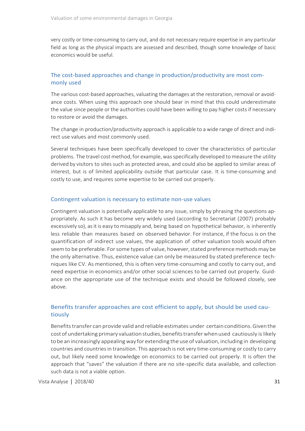very costly or time-consuming to carry out, and do not necessary require expertise in any particular field as long as the physical impacts are assessed and described, though some knowledge of basic economics would be useful.

### The cost-based approaches and change in production/productivity are most commonly used

The various cost-based approaches, valuating the damages at the restoration, removal or avoidance costs. When using this approach one should bear in mind that this could underestimate the value since people or the authorities could have been willing to pay higher costs if necessary to restore or avoid the damages.

The change in production/productivity approach is applicable to a wide range of direct and indirect use values and most commonly used.

Several techniques have been specifically developed to cover the characteristics of particular problems. The travel cost method, for example, was specifically developed to measure the utility derived by visitors to sites such as protected areas, and could also be applied to similar areas of interest, but is of limited applicability outside that particular case. It is time-consuming and costly to use, and requires some expertise to be carried out properly.

### Contingent valuation is necessary to estimate non-use values

Contingent valuation is potentially applicable to any issue, simply by phrasing the questions appropriately. As such it has become very widely used (according to Secretariat (2007) probably excessively so), as it is easy to misapply and, being based on hypothetical behavior, is inherently less reliable than measures based on observed behavior. For instance, if the focus is on the quantification of indirect use values, the application of other valuation tools would often seem to be preferable. For some types of value, however, stated preference methods may be the only alternative. Thus, existence value can only be measured by stated preference techniques like CV. As mentioned, this is often very time-consuming and costly to carry out, and need expertise in economics and/or other social sciences to be carried out properly. Guidance on the appropriate use of the technique exists and should be followed closely, see above.

### Benefits transfer approaches are cost efficient to apply, but should be used cautiously

Benefits transfer can provide valid and reliable estimates under certain conditions. Given the cost of undertaking primary valuation studies, benefits transfer when used cautiously is likely to be an increasingly appealing way for extending the use of valuation, including in developing countries and countries in transition. This approach is not very time-consuming or costly to carry out, but likely need some knowledge on economics to be carried out properly. It is often the approach that "saves" the valuation if there are no site-specific data available, and collection such data is not a viable option.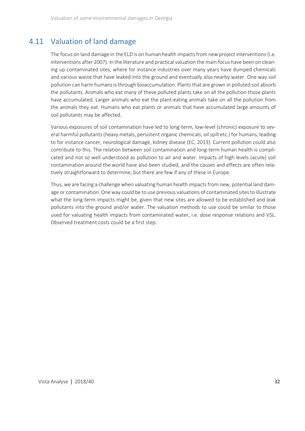# 4.11 Valuation of land damage

<span id="page-31-0"></span>The focus on land damage in the ELD is on human health impacts from new project interventions (i.e. interventions after 2007). In the literature and practical valuation the main focus have been on cleaning up contaminated sites, where for instance industries over many years have dumped chemicals and various waste that have leaked into the ground and eventually also nearby water. One way soil pollution can harm humans is through bioaccumulation. Plants that are grown in polluted soil absorb the pollutants. Animals who eat many of these polluted plants take on all the pollution those plants have accumulated. Larger animals who eat the plant-eating animals take on all the pollution from the animals they eat. Humans who eat plants or animals that have accumulated large amounts of soil pollutants may be affected.

Various exposures of soil contamination have led to long-term, low-level (chronic) exposure to several harmful pollutants (heavy metals, persistent organic chemicals, oil spill etc.) for humans, leading to for instance cancer, neurological damage, kidney disease (EC, 2013). Current pollution could also contribute to this. The relation between soil contamination and long-term human health is complicated and not so well understood as pollution to air and water. Impacts of high levels (acute) soil contamination around the world have also been studied, and the causes and effects are often relatively straightforward to determine, but there are few if any of these in Europe.

Thus, we are facing a challenge when valuating human health impacts from new, potential land damage or contamination. One way could be to use previous valuations of contaminated sites to illustrate what the long-term impacts might be, given that new sites are allowed to be established and leak pollutants into the ground and/or water. The valuation methods to use could be similar to those used for valuating health impacts from contaminated water, i.e. dose response relations and VSL. Observed treatment costs could be a first step.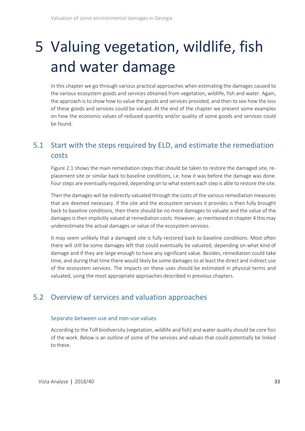# <span id="page-32-0"></span>5 Valuing vegetation, wildlife, fish and water damage

In this chapter we go through various practical approaches when estimating the damages caused to the various ecosystem goods and services obtained from vegetation, wildlife, fish and water. Again, the approach is to show how to value the goods and services provided, and then to see how the loss of these goods and services could be valued. At the end of the chapter we present some examples on how the economic values of reduced quantity and/or quality of some goods and services could be found.

# <span id="page-32-1"></span>5.1 Start with the steps required by ELD, and estimate the remediation costs

Figure 2.1 shows the main remediation steps that should be taken to restore the damaged site, replacement site or similar back to baseline conditions, i.e. how it was before the damage was done. Four steps are eventually required, depending on to what extent each step is able to restore the site.

Then the damages will be indirectly valuated through the costs of the various remediation measures that are deemed necessary. If the site and the ecosystem services it provides is then fully brought back to baseline conditions, then there should be no more damages to valuate and the value of the damages is then implicitly valued at remediation costs. However, as mentioned in chapter 4 this may underestimate the actual damages or value of the ecosystem services.

It may seem unlikely that a damaged site is fully restored back to baseline conditions. Most often there will still be some damages left that could eventually be valuated, depending on what kind of damage and if they are large enough to have any significant value. Besides, remediation could take time, and during that time there would likely be some damages to at least the direct and indirect use of the ecosystem services. The impacts on these uses should be estimated in physical terms and valuated, using the most appropriate approaches described in previous chapters.

# <span id="page-32-2"></span>5.2 Overview of services and valuation approaches

### Separate between use and non-use values

According to the ToR biodiversity (vegetation, wildlife and fish) and water quality should be core foci of the work. Below is an outline of some of the services and values that could potentially be linked to these.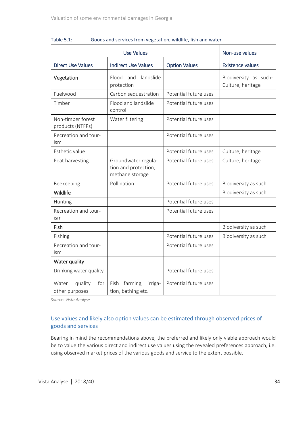|                                           | Non-use values                                                 |                       |                                            |
|-------------------------------------------|----------------------------------------------------------------|-----------------------|--------------------------------------------|
| <b>Direct Use Values</b>                  | <b>Indirect Use Values</b>                                     | <b>Option Values</b>  | <b>Existence values</b>                    |
| Vegetation                                | landslide<br>Flood<br>and<br>protection                        |                       | Biodiversity as such-<br>Culture, heritage |
| Fuelwood                                  | Carbon sequestration                                           | Potential future uses |                                            |
| Timber                                    | Flood and landslide<br>control                                 | Potential future uses |                                            |
| Non-timber forest<br>products (NTFPs)     | Water filtering                                                | Potential future uses |                                            |
| Recreation and tour-<br>ism               |                                                                | Potential future uses |                                            |
| Esthetic value                            |                                                                | Potential future uses | Culture, heritage                          |
| Peat harvesting                           | Groundwater regula-<br>tion and protection,<br>methane storage | Potential future uses | Culture, heritage                          |
| Beekeeping                                | Pollination                                                    | Potential future uses | Biodiversity as such                       |
| Wildlife                                  |                                                                |                       | Biodiversity as such                       |
| <b>Hunting</b>                            |                                                                | Potential future uses |                                            |
| Recreation and tour-<br>ism               |                                                                | Potential future uses |                                            |
| Fish                                      |                                                                |                       | Biodiversity as such                       |
| Fishing                                   |                                                                | Potential future uses | Biodiversity as such                       |
| Recreation and tour-<br>ism               |                                                                | Potential future uses |                                            |
| Water quality                             |                                                                |                       |                                            |
| Drinking water quality                    |                                                                | Potential future uses |                                            |
| quality<br>Water<br>for<br>other purposes | farming,<br>irriga-<br>Fish<br>tion, bathing etc.              | Potential future uses |                                            |

| Table $5.1$ : | Goods and services from vegetation, wildlife, fish and water |
|---------------|--------------------------------------------------------------|
|---------------|--------------------------------------------------------------|

*Source: Vista Analyse*

### Use values and likely also option values can be estimated through observed prices of goods and services

Bearing in mind the recommendations above, the preferred and likely only viable approach would be to value the various direct and indirect use values using the revealed preferences approach, i.e. using observed market prices of the various goods and service to the extent possible.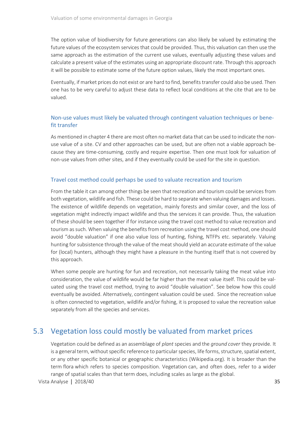The option value of biodiversity for future generations can also likely be valued by estimating the future values of the ecosystem services that could be provided. Thus, this valuation can then use the same approach as the estimation of the current use values, eventually adjusting these values and calculate a present value of the estimates using an appropriate discount rate. Through this approach it will be possible to estimate some of the future option values, likely the most important ones.

Eventually, if market prices do not exist or are hard to find, benefits transfer could also be used. Then one has to be very careful to adjust these data to reflect local conditions at the cite that are to be valued.

### Non-use values must likely be valuated through contingent valuation techniques or benefit transfer

As mentioned in chapter 4 there are most often no market data that can be used to indicate the nonuse value of a site. CV and other approaches can be used, but are often not a viable approach because they are time-consuming, costly and require expertise. Then one must look for valuation of non-use values from other sites, and if they eventually could be used for the site in question.

### Travel cost method could perhaps be used to valuate recreation and tourism

From the table it can among other things be seen that recreation and tourism could be services from both vegetation, wildlife and fish. These could be hard to separate when valuing damages and losses. The existence of wildlife depends on vegetation, mainly forests and similar cover, and the loss of vegetation might indirectly impact wildlife and thus the services it can provide. Thus, the valuation of these should be seen together if for instance using the travel cost method to value recreation and tourism as such. When valuing the benefits from recreation using the travel cost method, one should avoid "double valuation" if one also value loss of hunting, fishing, NTFPs etc. separately. Valuing hunting for subsistence through the value of the meat should yield an accurate estimate of the value for (local) hunters, although they might have a pleasure in the hunting itself that is not covered by this approach.

When some people are hunting for fun and recreation, not necessarily taking the meat value into consideration, the value of wildlife would be far higher than the meat value itself. This could be valuated using the travel cost method, trying to avoid "double valuation". See below how this could eventually be avoided. Alternatively, contingent valuation could be used. Since the recreation value is often connected to vegetation, wildlife and/or fishing, it is proposed to value the recreation value separately from all the species and services.

# <span id="page-34-0"></span>5.3 Vegetation loss could mostly be valuated from market prices

Vista Analyse | 2018/40 35 Vegetation could be defined as an assemblage of *[plant](https://en.wikipedia.org/wiki/Plant)* species and the *[ground cover](https://en.wikipedia.org/wiki/Ground_cover)* they provide. It is a general term, without specific reference to particular species, life forms, structure, spatial extent, or any other specific botanical or geographic characteristics (Wikipedia.org). It is broader than the term [flora](https://en.wikipedia.org/wiki/Flora_(plants)) which refers to species composition. Vegetation can, and often does, refer to a wider range of spatial scales than that term does, including scales as large as the global.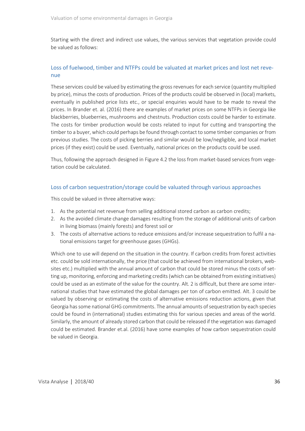Starting with the direct and indirect use values, the various services that vegetation provide could be valued as follows:

### Loss of fuelwood, timber and NTFPs could be valuated at market prices and lost net revenue

These services could be valued by estimating the gross revenues for each service (quantity multiplied by price), minus the costs of production. Prices of the products could be observed in (local) markets, eventually in published price lists etc., or special enquiries would have to be made to reveal the prices. In Brander et. al. (2016) there are examples of market prices on some NTFPs in Georgia like blackberries, blueberries, mushrooms and chestnuts. Production costs could be harder to estimate. The costs for timber production would be costs related to input for cutting and transporting the timber to a buyer, which could perhaps be found through contact to some timber companies or from previous studies. The costs of picking berries and similar would be low/negligible, and local market prices (if they exist) could be used. Eventually, national prices on the products could be used.

Thus, following the approach designed in Figure 4.2 the loss from market-based services from vegetation could be calculated.

### Loss of carbon sequestration/storage could be valuated through various approaches

This could be valued in three alternative ways:

- 1. As the potential net revenue from selling additional stored carbon as carbon credits;
- 2. As the avoided climate change damages resulting from the storage of additional units of carbon in living biomass (mainly forests) and forest soil or
- 3. The costs of alternative actions to reduce emissions and/or increase sequestration to fulfil a national emissions target for greenhouse gases (GHGs).

Which one to use will depend on the situation in the country. If carbon credits from forest activities etc. could be sold internationally, the price (that could be achieved from international brokers, websites etc.) multiplied with the annual amount of carbon that could be stored minus the costs of setting up, monitoring, enforcing and marketing credits (which can be obtained from existing initiatives) could be used as an estimate of the value for the country. Alt. 2 is difficult, but there are some international studies that have estimated the global damages per ton of carbon emitted. Alt. 3 could be valued by observing or estimating the costs of alternative emissions reduction actions, given that Georgia has some national GHG commitments. The annual amounts of sequestration by each species could be found in (international) studies estimating this for various species and areas of the world. Similarly, the amount of already stored carbon that could be released if the vegetation was damaged could be estimated. Brander et.al. (2016) have some examples of how carbon sequestration could be valued in Georgia.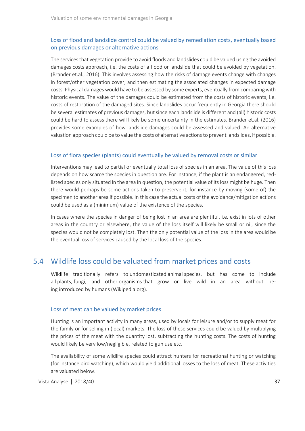### Loss of flood and landslide control could be valued by remediation costs, eventually based on previous damages or alternative actions

The services that vegetation provide to avoid floods and landslides could be valued using the avoided damages costs approach, i.e. the costs of a flood or landslide that could be avoided by vegetation. (Brander et.al., 2016). This involves assessing how the risks of damage events change with changes in forest/other vegetation cover, and then estimating the associated changes in expected damage costs. Physical damages would have to be assessed by some experts, eventually from comparing with historic events. The value of the damages could be estimated from the costs of historic events, i.e. costs of restoration of the damaged sites. Since landslides occur frequently in Georgia there should be several estimates of previous damages, but since each landslide is different and (all) historic costs could be hard to assess there will likely be some uncertainty in the estimates. Brander et.al. (2016) provides some examples of how landslide damages could be assessed and valued. An alternative valuation approach could be to value the costs of alternative actions to prevent landslides, if possible.

### Loss of flora species (plants) could eventually be valued by removal costs or similar

Interventions may lead to partial or eventually total loss of species in an area. The value of this loss depends on how scarce the species in question are. For instance, if the plant is an endangered, redlisted species only situated in the area in question, the potential value of its loss might be huge. Then there would perhaps be some actions taken to preserve it, for instance by moving (some of) the specimen to another area if possible. In this case the actual costs of the avoidance/mitigation actions could be used as a (minimum) value of the existence of the species.

In cases where the species in danger of being lost in an area are plentiful, i.e. exist in lots of other areas in the country or elsewhere, the value of the loss itself will likely be small or nil, since the species would not be completely lost. Then the only potential value of the loss in the area would be the eventual loss of services caused by the local loss of the species.

# <span id="page-36-0"></span>5.4 Wildlife loss could be valuated from market prices and costs

Wildlife traditionally refers to [undomesticated](https://en.wikipedia.org/wiki/Domestication) [animal](https://en.wikipedia.org/wiki/Animal) [species,](https://en.wikipedia.org/wiki/Species_(biology)) but has come to include all [plants,](https://en.wikipedia.org/wiki/Plant) [fungi,](https://en.wikipedia.org/wiki/Fungi) and other [organisms](https://en.wikipedia.org/wiki/Organism) that grow or live wild in an area without being [introduced](https://en.wikipedia.org/wiki/Introduced_species) by [humans](https://en.wikipedia.org/wiki/Human) (Wikipedia.org).

### Loss of meat can be valued by market prices

Hunting is an important activity in many areas, used by locals for leisure and/or to supply meat for the family or for selling in (local) markets. The loss of these services could be valued by multiplying the prices of the meat with the quantity lost, subtracting the hunting costs. The costs of hunting would likely be very low/negligible, related to gun use etc.

The availability of some wildlife species could attract hunters for recreational hunting or watching (for instance bird watching), which would yield additional losses to the loss of meat. These activities are valuated below.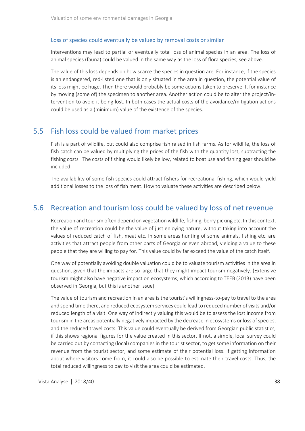#### Loss of species could eventually be valued by removal costs or similar

Interventions may lead to partial or eventually total loss of animal species in an area. The loss of animal species (fauna) could be valued in the same way as the loss of flora species, see above.

The value of this loss depends on how scarce the species in question are. For instance, if the species is an endangered, red-listed one that is only situated in the area in question, the potential value of its loss might be huge. Then there would probably be some actions taken to preserve it, for instance by moving (some of) the specimen to another area. Another action could be to alter the project/intervention to avoid it being lost. In both cases the actual costs of the avoidance/mitigation actions could be used as a (minimum) value of the existence of the species.

## <span id="page-37-0"></span>5.5 Fish loss could be valued from market prices

Fish is a part of wildlife, but could also comprise fish raised in fish farms. As for wildlife, the loss of fish catch can be valued by multiplying the prices of the fish with the quantity lost, subtracting the fishing costs. The costs of fishing would likely be low, related to boat use and fishing gear should be included.

<span id="page-37-1"></span>The availability of some fish species could attract fishers for recreational fishing, which would yield additional losses to the loss of fish meat. How to valuate these activities are described below.

# 5.6 Recreation and tourism loss could be valued by loss of net revenue

Recreation and tourism often depend on vegetation wildlife, fishing, berry picking etc. In this context, the value of recreation could be the value of just enjoying nature, without taking into account the values of reduced catch of fish, meat etc. In some areas hunting of some animals, fishing etc. are activities that attract people from other parts of Georgia or even abroad, yielding a value to these people that they are willing to pay for. This value could by far exceed the value of the catch itself.

One way of potentially avoiding double valuation could be to valuate tourism activities in the area in question, given that the impacts are so large that they might impact tourism negatively. (Extensive tourism might also have negative impact on ecosystems, which according to TEEB (2013) have been observed in Georgia, but this is another issue).

The value of tourism and recreation in an area is the tourist's willingness-to-pay to travel to the area and spend time there, and reduced ecosystem services could lead to reduced number of visits and/or reduced length of a visit. One way of indirectly valuing this would be to assess the lost income from tourism in the areas potentially negatively impacted by the decrease in ecosystems or loss of species, and the reduced travel costs. This value could eventually be derived from Georgian public statistics, if this shows regional figures for the value created in this sector. If not, a simple, local survey could be carried out by contacting (local) companies in the tourist sector, to get some information on their revenue from the tourist sector, and some estimate of their potential loss. If getting information about where visitors come from, it could also be possible to estimate their travel costs. Thus, the total reduced willingness to pay to visit the area could be estimated.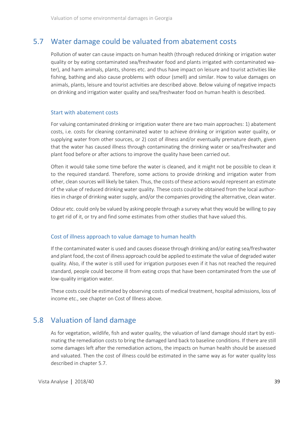# 5.7 Water damage could be valuated from abatement costs

<span id="page-38-0"></span>Pollution of water can cause impacts on human health (through reduced drinking or irrigation water quality or by eating contaminated sea/freshwater food and plants irrigated with contaminated water), and harm animals, plants, shores etc. and thus have impact on leisure and tourist activities like fishing, bathing and also cause problems with odour (smell) and similar. How to value damages on animals, plants, leisure and tourist activities are described above. Below valuing of negative impacts on drinking and irrigation water quality and sea/freshwater food on human health is described.

### Start with abatement costs

For valuing contaminated drinking or irrigation water there are two main approaches: 1) abatement costs, i.e. costs for cleaning contaminated water to achieve drinking or irrigation water quality, or supplying water from other sources, or 2) cost of illness and/or eventually premature death, given that the water has caused illness through contaminating the drinking water or sea/freshwater and plant food before or after actions to improve the quality have been carried out.

Often it would take some time before the water is cleaned, and it might not be possible to clean it to the required standard. Therefore, some actions to provide drinking and irrigation water from other, clean sources will likely be taken. Thus, the costs of these actions would represent an estimate of the value of reduced drinking water quality. These costs could be obtained from the local authorities in charge of drinking water supply, and/or the companies providing the alternative, clean water.

Odour etc. could only be valued by asking people through a survey what they would be willing to pay to get rid of it, or try and find some estimates from other studies that have valued this.

### Cost of illness approach to value damage to human health

If the contaminated water is used and causes disease through drinking and/or eating sea/freshwater and plant food, the cost of illness approach could be applied to estimate the value of degraded water quality. Also, if the water is still used for irrigation purposes even if it has not reached the required standard, people could become ill from eating crops that have been contaminated from the use of low-quality irrigation water.

<span id="page-38-1"></span>These costs could be estimated by observing costs of medical treatment, hospital admissions, loss of income etc., see chapter on Cost of Illness above.

## 5.8 Valuation of land damage

As for vegetation, wildlife, fish and water quality, the valuation of land damage should start by estimating the remediation costs to bring the damaged land back to baseline conditions. If there are still some damages left after the remediation actions, the impacts on human health should be assessed and valuated. Then the cost of illness could be estimated in the same way as for water quality loss described in chapter 5.7.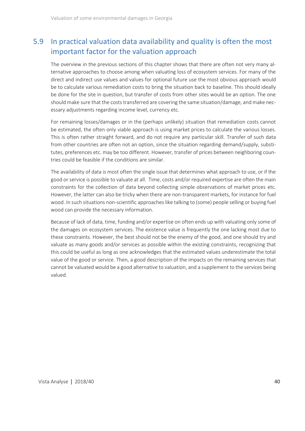# <span id="page-39-0"></span>5.9 In practical valuation data availability and quality is often the most important factor for the valuation approach

The overview in the previous sections of this chapter shows that there are often not very many alternative approaches to choose among when valuating loss of ecosystem services. For many of the direct and indirect use values and values for optional future use the most obvious approach would be to calculate various remediation costs to bring the situation back to baseline. This should ideally be done for the site in question, but transfer of costs from other sites would be an option. The one should make sure that the costs transferred are covering the same situation/damage, and make necessary adjustments regarding income level, currency etc.

For remaining losses/damages or in the (perhaps unlikely) situation that remediation costs cannot be estimated, the often only viable approach is using market prices to calculate the various losses. This is often rather straight forward, and do not require any particular skill. Transfer of such data from other countries are often not an option, since the situation regarding demand/supply, substitutes, preferences etc. may be too different. However, transfer of prices between neighboring countries could be feasible if the conditions are similar.

The availability of data is most often the single issue that determines what approach to use, or if the good or service is possible to valuate at all. Time, costs and/or required expertise are often the main constraints for the collection of data beyond collecting simple observations of market prices etc. However, the latter can also be tricky when there are non-transparent markets, for instance for fuel wood. In such situations non-scientific approaches like talking to (some) people selling or buying fuel wood can provide the necessary information.

Because of lack of data, time, funding and/or expertise on often ends up with valuating only some of the damages on ecosystem services. The existence value is frequently the one lacking most due to these constraints. However, the best should not be the enemy of the good, and one should try and valuate as many goods and/or services as possible within the existing constraints, recognizing that this could be useful as long as one acknowledges that the estimated values underestimate the total value of the good or service. Then, a good description of the impacts on the remaining services that cannot be valuated would be a good alternative to valuation, and a supplement to the services being valued.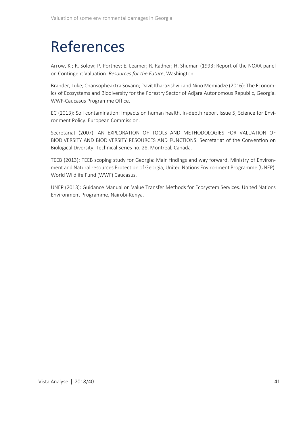# References

Arrow, K.; R. Solow; P. Portney; E. Leamer; R. Radner; H. Shuman (1993: Report of the NOAA panel on Contingent Valuation. *Resources for the Future*, Washington.

Brander, Luke; Chansopheaktra Sovann; Davit Kharazishvili and Nino Memiadze (2016): The Economics of Ecosystems and Biodiversity for the Forestry Sector of Adjara Autonomous Republic, Georgia. WWF-Caucasus Programme Office.

EC (2013): Soil contamination: Impacts on human health. In-depth report Issue 5, Science for Environment Policy. European Commission.

Secretariat (2007). AN EXPLORATION OF TOOLS AND METHODOLOGIES FOR VALUATION OF BIODIVERSITY AND BIODIVERSITY RESOURCES AND FUNCTIONS. Secretariat of the Convention on Biological Diversity, Technical Series no. 28, Montreal, Canada.

TEEB (2013): TEEB scoping study for Georgia: Main findings and way forward. Ministry of Environment and Natural resources Protection of Georgia, United Nations Environment Programme (UNEP). World Wildlife Fund (WWF) Caucasus.

UNEP (2013): Guidance Manual on Value Transfer Methods for Ecosystem Services. United Nations Environment Programme, Nairobi-Kenya.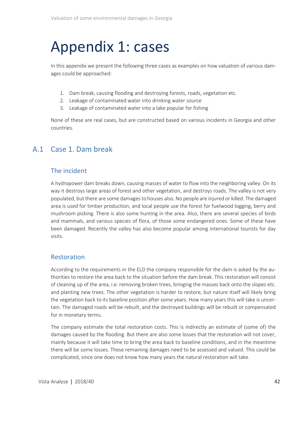# <span id="page-41-0"></span>Appendix 1: cases

In this appendix we present the following three cases as examples on how valuation of various damages could be approached:

- 1. Dam break, causing flooding and destroying forests, roads, vegetation etc.
- 2. Leakage of contaminated water into drinking water source
- 3. Leakage of contaminated water into a lake popular for fishing

None of these are real cases, but are constructed based on various incidents in Georgia and other countries.

# A.1 Case 1. Dam break

### The incident

A hydropower dam breaks down, causing masses of water to flow into the neighboring valley. On its way it destroys large areas of forest and other vegetation, and destroys roads. The valley is not very populated, but there are some damages to houses also. No people are injured or killed. The damaged area is used for timber production, and local people use the forest for fuelwood logging, berry and mushroom picking. There is also some hunting in the area. Also, there are several species of birds and mammals, and various species of flora, of those some endangered ones. Some of these have been damaged. Recently the valley has also become popular among international tourists for day visits.

### Restoration

According to the requirements in the ELD the company responsible for the dam is asked by the authorities to restore the area back to the situation before the dam break. This restoration will consist of cleaning up of the area, i.e. removing broken trees, bringing the masses back onto the slopes etc. and planting new trees. The other vegetation is harder to restore, but nature itself will likely bring the vegetation back to its baseline position after some years. How many years this will take is uncertain. The damaged roads will be rebuilt, and the destroyed buildings will be rebuilt or compensated for in monetary terms.

The company estimate the total restoration costs. This is indirectly an estimate of (some of) the damages caused by the flooding. But there are also some losses that the restoration will not cover, mainly because it will take time to bring the area back to baseline conditions, and in the meantime there will be some losses. These remaining damages need to be assessed and valued. This could be complicated, since one does not know how many years the natural restoration will take.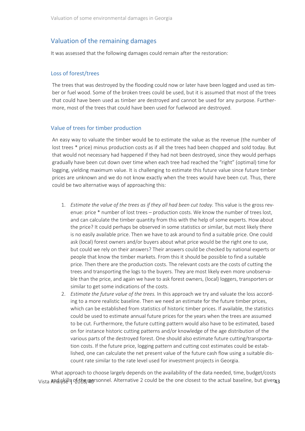### Valuation of the remaining damages

It was assessed that the following damages could remain after the restoration:

#### Loss of forest/trees

The trees that was destroyed by the flooding could now or later have been logged and used as timber or fuel wood. Some of the broken trees could be used, but it is assumed that most of the trees that could have been used as timber are destroyed and cannot be used for any purpose. Furthermore, most of the trees that could have been used for fuelwood are destroyed.

#### Value of trees for timber production

An easy way to valuate the timber would be to estimate the value as the revenue (the number of lost trees \* price) minus production costs as if all the trees had been chopped and sold today. But that would not necessary had happened if they had not been destroyed, since they would perhaps gradually have been cut down over time when each tree had reached the "right" (optimal) time for logging, yielding maximum value. It is challenging to estimate this future value since future timber prices are unknown and we do not know exactly when the trees would have been cut. Thus, there could be two alternative ways of approaching this:

- 1. *Estimate the value of the trees as if they all had been cut today*. This value is the gross revenue: price \* number of lost trees – production costs. We know the number of trees lost, and can calculate the timber quantity from this with the help of some experts. How about the price? It could perhaps be observed in some statistics or similar, but most likely there is no easily available price. Then we have to ask around to find a suitable price. One could ask (local) forest owners and/or buyers about what price would be the right one to use, but could we rely on their answers? Their answers could be checked by national experts or people that know the timber markets. From this it should be possible to find a suitable price. Then there are the production costs. The relevant costs are the costs of cutting the trees and transporting the logs to the buyers. They are most likely even more unobservable than the price, and again we have to ask forest owners, (local) loggers, transporters or similar to get some indications of the costs.
- 2. *Estimate the future value of the trees.* In this approach we try and valuate the loss according to a more realistic baseline. Then we need an estimate for the future timber prices, which can be established from statistics of historic timber prices. If available, the statistics could be used to estimate annual future prices for the years when the trees are assumed to be cut. Furthermore, the future cutting pattern would also have to be estimated, based on for instance historic cutting patterns and/or knowledge of the age distribution of the various parts of the destroyed forest. One should also estimate future cutting/transportation costs. If the future price, logging pattern and cutting cost estimates could be established, one can calculate the net present value of the future cash flow using a suitable discount rate similar to the rate level used for investment projects in Georgia.

Vista AndIşkills ofdhe/nersonnel. Alternative 2 could be the one closest to the actual baseline, but given 3 What approach to choose largely depends on the availability of the data needed, time, budget/costs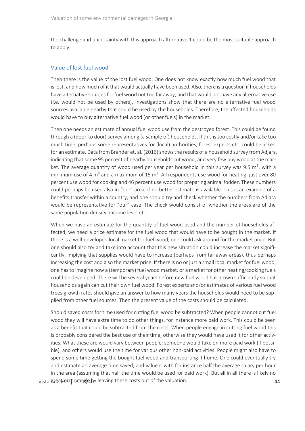the challenge and uncertainty with this approach alternative 1 could be the most suitable approach to apply.

### Value of lost fuel wood

Then there is the value of the lost fuel wood. One does not know exactly how much fuel wood that is lost, and how much of it that would actually have been used. Also, there is a question if households have alternative sources for fuel wood not too far away, and that would not have any alternative use (i.e. would not be used by others). Investigations show that there are no alternative fuel wood sources available nearby that could be used by the households. Therefore, the affected households would have to buy alternative fuel wood (or other fuels) in the market.

Then one needs an estimate of annual fuel wood use from the destroyed forest. This could be found through a (door-to door) survey among (a sample of) households. If this is too costly and/or take too much time, perhaps some representatives for (local) authorities, forest experts etc. could be asked for an estimate. Data from Brander et. al. (2016) shows the results of a household survey from Adjara, indicating that some 95 percent of nearby households cut wood, and very few buy wood at the market. The average quantity of wood used per year per household in this survey was 9.5  $m^3$ , with a minimum use of 4  $m<sup>3</sup>$  and a maximum of 15  $m<sup>3</sup>$ . All respondents use wood for heating, just over 80 percent use wood for cooking and 46 percent use wood for preparing animal fodder. These numbers could perhaps be used also in "our" area, if no better estimate is available. This is an example of a benefits transfer within a country, and one should try and check whether the numbers from Adjara would be representative for "our" case. The check would consist of whether the areas are of the same population density, income level etc.

When we have an estimate for the quantity of fuel wood used and the number of households affected, we need a price estimate for the fuel wood that would have to be bought in the market. If there is a well-developed local market for fuel wood, one could ask around for the market price. But one should also try and take into account that this new situation could increase the market significantly, implying that supplies would have to increase (perhaps from far away areas), thus perhaps increasing the cost and also the market price. If there is no or just a small local market for fuel wood, one has to imagine how a (temporary) fuel wood market, or a market for other heating/cooking fuels could be developed. There will be several years before new fuel wood has grown sufficiently so that households again can cut their own fuel wood. Forest experts and/or estimates of various fuel wood trees growth rates should give an answer to how many years the households would need to be supplied from other fuel sources. Then the present value of the costs should be calculated.

Vista **Affaty** $\oplus$  **rpn2mps/aby** leaving these costs out of the valuation.  $\blacksquare$ Should saved costs for time used for cutting fuel wood be subtracted? When people cannot cut fuel wood they will have extra time to do other things, for instance more paid work. This could be seen as a benefit that could be subtracted from the costs. When people engage in cutting fuel wood this is probably considered the best use of their time, otherwise they would have used it for other activities. What these are would vary between people: someone would take on more paid work (if possible), and others would use the time for various other non-paid activities. People might also have to spend some time getting the bought fuel wood and transporting it home. One could eventually try and estimate an average time saved, and value it with for instance half the average salary per hour in the area (assuming that half the time would be used for paid work). But all in all there is likely no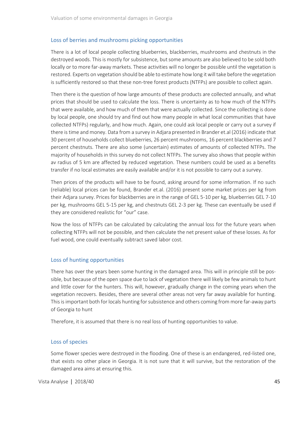#### Loss of berries and mushrooms picking opportunities

There is a lot of local people collecting blueberries, blackberries, mushrooms and chestnuts in the destroyed woods. This is mostly for subsistence, but some amounts are also believed to be sold both locally or to more far-away markets. These activities will no longer be possible until the vegetation is restored. Experts on vegetation should be able to estimate how long it will take before the vegetation is sufficiently restored so that these non-tree forest products (NTFPs) are possible to collect again.

Then there is the question of how large amounts of these products are collected annually, and what prices that should be used to calculate the loss. There is uncertainty as to how much of the NTFPs that were available, and how much of them that were actually collected. Since the collecting is done by local people, one should try and find out how many people in what local communities that have collected NTFPs) regularly, and how much. Again, one could ask local people or carry out a survey if there is time and money. Data from a survey in Adjara presented in Brander et.al (2016) indicate that 30 percent of households collect blueberries, 26 percent mushrooms, 16 percent blackberries and 7 percent chestnuts. There are also some (uncertain) estimates of amounts of collected NTFPs. The majority of households in this survey do not collect NTFPs. The survey also shows that people within av radius of 5 km are affected by reduced vegetation. These numbers could be used as a benefits transfer if no local estimates are easily available and/or it is not possible to carry out a survey.

Then prices of the products will have to be found, asking around for some information. If no such (reliable) local prices can be found, Brander et.al. (2016) present some market prices per kg from their Adjara survey. Prices for blackberries are in the range of GEL 5-10 per kg, blueberries GEL 7-10 per kg, mushrooms GEL 5-15 per kg, and chestnuts GEL 2-3 per kg. These can eventually be used if they are considered realistic for "our" case.

Now the loss of NTFPs can be calculated by calculating the annual loss for the future years when collecting NTFPs will not be possible, and then calculate the net present value of these losses. As for fuel wood, one could eventually subtract saved labor cost.

### Loss of hunting opportunities

There has over the years been some hunting in the damaged area. This will in principle still be possible, but because of the open space due to lack of vegetation there will likely be few animals to hunt and little cover for the hunters. This will, however, gradually change in the coming years when the vegetation recovers. Besides, there are several other areas not very far away available for hunting. This is important both for locals hunting for subsistence and others coming from more far-away parts of Georgia to hunt

Therefore, it is assumed that there is no real loss of hunting opportunities to value.

#### Loss of species

Some flower species were destroyed in the flooding. One of these is an endangered, red-listed one, that exists no other place in Georgia. It is not sure that it will survive, but the restoration of the damaged area aims at ensuring this.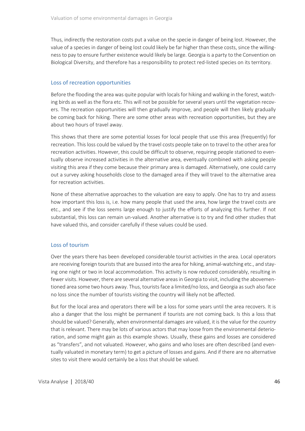Thus, indirectly the restoration costs put a value on the specie in danger of being lost. However, the value of a species in danger of being lost could likely be far higher than these costs, since the willingness to pay to ensure further existence would likely be large. Georgia is a party to the Convention on Biological Diversity, and therefore has a responsibility to protect red-listed species on its territory.

### Loss of recreation opportunities

Before the flooding the area was quite popular with locals for hiking and walking in the forest, watching birds as well as the flora etc. This will not be possible for several years until the vegetation recovers. The recreation opportunities will then gradually improve, and people will then likely gradually be coming back for hiking. There are some other areas with recreation opportunities, but they are about two hours of travel away.

This shows that there are some potential losses for local people that use this area (frequently) for recreation. This loss could be valued by the travel costs people take on to travel to the other area for recreation activities. However, this could be difficult to observe, requiring people stationed to eventually observe increased activities in the alternative area, eventually combined with asking people visiting this area if they come because their primary area is damaged. Alternatively, one could carry out a survey asking households close to the damaged area if they will travel to the alternative area for recreation activities.

None of these alternative approaches to the valuation are easy to apply. One has to try and assess how important this loss is, i.e. how many people that used the area, how large the travel costs are etc., and see if the loss seems large enough to justify the efforts of analyzing this further. If not substantial, this loss can remain un-valued. Another alternative is to try and find other studies that have valued this, and consider carefully if these values could be used.

### Loss of tourism

Over the years there has been developed considerable tourist activities in the area. Local operators are receiving foreign tourists that are bussed into the area for hiking, animal-watching etc., and staying one night or two in local accommodation. This activity is now reduced considerably, resulting in fewer visits. However, there are several alternative areas in Georgia to visit, including the abovementioned area some two hours away. Thus, tourists face a limited/no loss, and Georgia as such also face no loss since the number of tourists visiting the country will likely not be affected.

But for the local area and operators there will be a loss for some years until the area recovers. It is also a danger that the loss might be permanent if tourists are not coming back. Is this a loss that should be valued? Generally, when environmental damages are valued, it is the value for the *country* that is relevant. There may be lots of various actors that may loose from the environmental deterioration, and some might gain as this example shows. Usually, these gains and losses are considered as "transfers", and not valuated. However, who gains and who loses are often described (and eventually valuated in monetary term) to get a picture of losses and gains. And if there are no alternative sites to visit there would certainly be a loss that should be valued.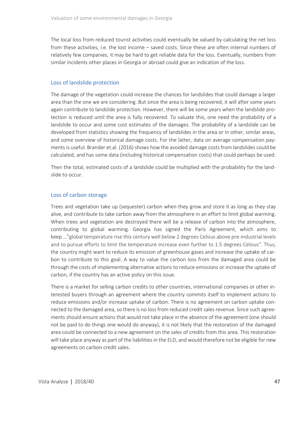The local loss from reduced tourist activities could eventually be valued by calculating the net loss from these activities, i.e. the lost income – saved costs. Since these are often internal numbers of relatively few companies, it may be hard to get reliable data for the loss. Eventually, numbers from similar incidents other places in Georgia or abroad could give an indication of the loss.

### Loss of landslide protection

The damage of the vegetation could increase the chances for landslides that could damage a larger area than the one we are considering. But since the area is being recovered, it will after some years again contribute to landslide protection. However, there will be some years when the landslide protection is reduced until the area is fully recovered. To valuate this, one need the probability of a landslide to occur and some cost estimates of the damages. The probability of a landslide can be developed from statistics showing the frequency of landslides in the area or in other, similar areas, and some overview of historical damage costs. For the latter, data on average compensation payments is useful. Brander et.al. (2016) shows how the avoided damage costs from landslides could be calculated, and has some data (including historical compensation costs) that could perhaps be used.

Then the total, estimated costs of a landslide could be multiplied with the probability for the landslide to occur.

### Loss of carbon storage

Trees and vegetation take up (sequester) carbon when they grow and store it as long as they stay alive, and contribute to take carbon away from the atmosphere in an effort to limit global warming. When trees and vegetation are destroyed there will be a release of carbon into the atmosphere, contributing to global warming. Georgia has signed the Paris Agreement, which aims to keep …"global temperature rise this century well below 2 degrees Celsius above pre-industrial levels and to pursue efforts to limit the temperature increase even further to 1.5 degrees Celsius". Thus, the country might want to reduce its emission of greenhouse gases and increase the uptake of carbon to contribute to this goal. A way to value the carbon loss from the damaged area could be through the costs of implementing alternative actions to reduce emissions or increase the uptake of carbon, if the country has an active policy on this issue.

There is a market for selling carbon credits to other countries, international companies or other interested buyers through an agreement where the country commits itself to implement actions to reduce emissions and/or increase uptake of carbon. There is no agreement on carbon uptake connected to the damaged area, so there is no loss from reduced credit sales revenue. Since such agreements should ensure actions that would not take place in the absence of the agreement (one should not be paid to do things one would do anyway), it is not likely that the restoration of the damaged area could be connected to a new agreement on the sales of credits from this area. This restoration will take place anyway as part of the liabilities in the ELD, and would therefore not be eligible for new agreements on carbon credit sales.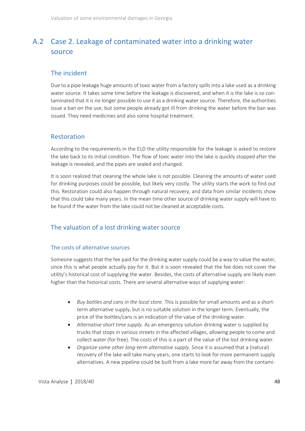# A.2 Case 2. Leakage of contaminated water into a drinking water source

### The incident

Due to a pipe leakage huge amounts of toxic water from a factory spills into a lake used as a drinking water source. It takes some time before the leakage is discovered, and when it is the lake is so contaminated that it is no longer possible to use it as a drinking water source. Therefore, the authorities issue a ban on the use, but some people already got ill from drinking the water before the ban was issued. They need medicines and also some hospital treatment.

### Restoration

According to the requirements in the ELD the utility responsible for the leakage is asked to restore the lake back to its initial condition. The flow of toxic water into the lake is quickly stopped after the leakage is revealed, and the pipes are sealed and changed.

It is soon realized that cleaning the whole lake is not possible. Cleaning the amounts of water used for drinking purposes could be possible, but likely very costly. The utility starts the work to find out this. Restoration could also happen through natural recovery, and data from similar incidents show that this could take many years. In the mean time other source of drinking water supply will have to be found if the water from the lake could not be cleaned at acceptable costs.

### The valuation of a lost drinking water source

### The costs of alternative sources

Someone suggests that the fee paid for the drinking water supply could be a way to value the water, since this is what people actually pay for it. But it is soon revealed that the fee does not cover the utility's historical cost of supplying the water. Besides, the costs of alternative supply are likely even higher than the historical costs. There are several alternative ways of supplying water:

- *Buy bottles and cans in the local store*. This is possible for small amounts and as a shortterm alternative supply, but is no suitable solution in the longer term. Eventually, the price of the bottles/cans is an indication of the value of the drinking water.
- *Alternative short time supply*. As an emergency solution drinking water is supplied by trucks that stops in various streets in the affected villages, allowing people to come and collect water (for free). The costs of this is a part of the value of the lost drinking water.
- *Organize some other long-term alternative supply*. Since it is assumed that a (natural) recovery of the lake will take many years, one starts to look for more permanent supply alternatives. A new pipeline could be built from a lake more far away from the contami-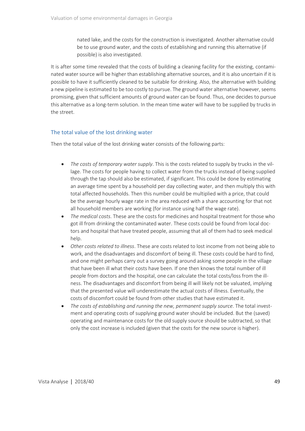nated lake, and the costs for the construction is investigated. Another alternative could be to use ground water, and the costs of establishing and running this alternative (if possible) is also investigated.

It is after some time revealed that the costs of building a cleaning facility for the existing, contaminated water source will be higher than establishing alternative sources, and it is also uncertain if it is possible to have it sufficiently cleaned to be suitable for drinking. Also, the alternative with building a new pipeline is estimated to be too costly to pursue. The ground water alternative however, seems promising, given that sufficient amounts of ground water can be found. Thus, one decides to pursue this alternative as a long-term solution. In the mean time water will have to be supplied by trucks in the street.

### The total value of the lost drinking water

Then the total value of the lost drinking water consists of the following parts:

- *The costs of temporary water supply*. This is the costs related to supply by trucks in the village. The costs for people having to collect water from the trucks instead of being supplied through the tap should also be estimated, if significant. This could be done by estimating an average time spent by a household per day collecting water, and then multiply this with total affected households. Then this number could be multiplied with a price, that could be the average hourly wage rate in the area reduced with a share accounting for that not all household members are working (for instance using half the wage rate).
- *The medical costs*. These are the costs for medicines and hospital treatment for those who got ill from drinking the contaminated water. These costs could be found from local doctors and hospital that have treated people, assuming that all of them had to seek medical help.
- *Other costs related to illness*. These are costs related to lost income from not being able to work, and the disadvantages and discomfort of being ill. These costs could be hard to find, and one might perhaps carry out a survey going around asking some people in the village that have been ill what their costs have been. If one then knows the total number of ill people from doctors and the hospital, one can calculate the total costs/loss from the illness. The disadvantages and discomfort from being ill will likely not be valuated, implying that the presented value will underestimate the actual costs of illness. Eventually, the costs of discomfort could be found from other studies that have estimated it.
- *The costs of establishing and running the new, permanent supply source*. The total investment and operating costs of supplying ground water should be included. But the (saved) operating and maintenance costs for the old supply source should be subtracted, so that only the cost increase is included (given that the costs for the new source is higher).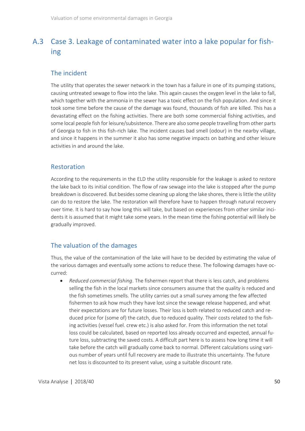# A.3 Case 3. Leakage of contaminated water into a lake popular for fishing

## The incident

The utility that operates the sewer network in the town has a failure in one of its pumping stations, causing untreated sewage to flow into the lake. This again causes the oxygen level in the lake to fall, which together with the ammonia in the sewer has a toxic effect on the fish population. And since it took some time before the cause of the damage was found, thousands of fish are killed. This has a devastating effect on the fishing activities. There are both some commercial fishing activities, and some local people fish for leisure/subsistence. There are also some people travelling from other parts of Georgia to fish in this fish-rich lake. The incident causes bad smell (odour) in the nearby village, and since it happens in the summer it also has some negative impacts on bathing and other leisure activities in and around the lake.

### Restoration

According to the requirements in the ELD the utility responsible for the leakage is asked to restore the lake back to its initial condition. The flow of raw sewage into the lake is stopped after the pump breakdown is discovered. But besides some cleaning up along the lake shores, there is little the utility can do to restore the lake. The restoration will therefore have to happen through natural recovery over time. It is hard to say how long this will take, but based on experiences from other similar incidents it is assumed that it might take some years. In the mean time the fishing potential will likely be gradually improved.

### The valuation of the damages

Thus, the value of the contamination of the lake will have to be decided by estimating the value of the various damages and eventually some actions to reduce these. The following damages have occurred:

• *Reduced commercial fishing*. The fishermen report that there is less catch, and problems selling the fish in the local markets since consumers assume that the quality is reduced and the fish sometimes smells. The utility carries out a small survey among the few affected fishermen to ask how much they have lost since the sewage release happened, and what their expectations are for future losses. Their loss is both related to reduced catch and reduced price for (some of) the catch, due to reduced quality. Their costs related to the fishing activities (vessel fuel. crew etc.) is also asked for. From this information the net total loss could be calculated, based on reported loss already occurred and expected, annual future loss, subtracting the saved costs. A difficult part here is to assess how long time it will take before the catch will gradually come back to normal. Different calculations using various number of years until full recovery are made to illustrate this uncertainty. The future net loss is discounted to its present value, using a suitable discount rate.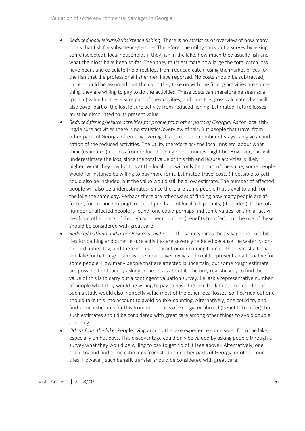- *Reduced local leisure/subsistence fishing*. There is no statistics or overview of how many locals that fish for subsistence/leisure. Therefore, the utility carry out a survey by asking some (selected), local households if they fish in the lake, how much they usually fish and what their loss have been so far. Then they must estimate how large the total catch loss have been, and calculate the direct loss from reduced catch, using the market prices for the fish that the professional fishermen have reported. No costs should be subtracted, since it could be assumed that the costs they take on with the fishing activities are something they are willing to pay to do the activities. These costs can therefore be seen as a (partial) value for the leisure part of the activities, and thus the gross calculated loss will also cover part of the lost leisure activity from reduced fishing. Estimated, future losses must be discounted to its present value.
- *Reduced fishing/leisure activities for people from other parts of Georgia.* As for local fishing/leisure activities there is no statistics/overview of this. But people that travel from other parts of Georgia often stay overnight, and reduced number of stays can give an indication of the reduced activities. The utility therefore ask the local inns etc. about what their (estimated) net loss from reduced fishing opportunities might be. However, this will underestimate the loss, since the total value of this fish and leisure activities is likely higher. What they pay for this at the local inns will only be a part of the value, some people would for instance be willing to pay more for it. Estimated travel costs (if possible to get) could also be included, but the value would still be a low estimate. The number of affected people will also be underestimated, since there are some people that travel to and from the lake the same day. Perhaps there are other ways of finding how many people are affected, for instance through reduced purchase of local fish permits, (if needed). If the total number of affected people is found, one could perhaps find some values for similar activities from other parts of Georgia or other countries (benefits transfer), but the use of these should be considered with great care.
- *Reduced bathing and other leisure activities*. In the same year as the leakage the possibilities for bathing and other leisure activities are severely reduced because the water is considered unhealthy, and there is an unpleasant odour coming from it. The nearest alternative lake for bathing/leisure is one hour travel away, and could represent an alternative for some people. How many people that are affected is uncertain, but some rough estimate are possible to obtain by asking some locals about it. The only realistic way to find the value of this is to carry out a contingent valuation survey, i.e. ask a representative number of people what they would be willing to pay to have the lake back to normal conditions. Such a study would also indirectly value most of the other local losses, so if carried out one should take this into account to avoid double-counting. Alternatively, one could try and find some estimates for this from other parts of Georgia or abroad (benefits transfer), but such estimates should be considered with great care among other things to avoid double counting.
- *Odour from the lake*. People living around the lake experience some smell from the lake, especially on hot days. This disadvantage could only be valued by asking people through a survey what they would be willing to pay to get rid of it (see above). Alternatively, one could try and find some estimates from studies in other parts of Georgia or other countries. However, such benefit transfer should be considered with great care.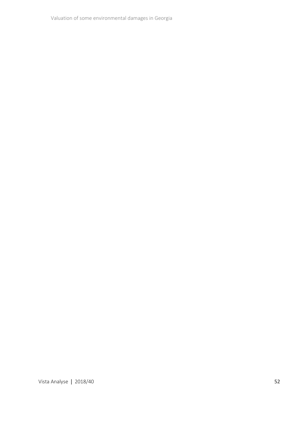Valuation of some environmental damages in Georgia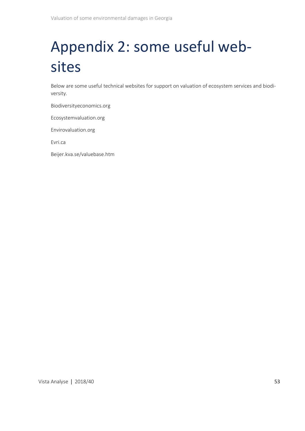# <span id="page-52-0"></span>Appendix 2: some useful websites

Below are some useful technical websites for support on valuation of ecosystem services and biodiversity.

Biodiversityeconomics.org

Ecosystemvaluation.org

Envirovaluation.org

Evri.ca

Beijer.kva.se/valuebase.htm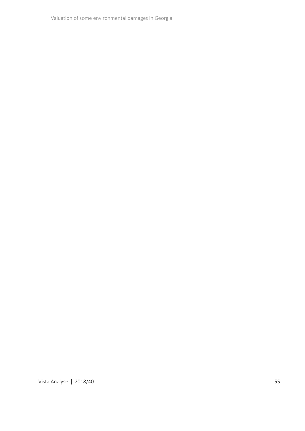Valuation of some environmental damages in Georgia